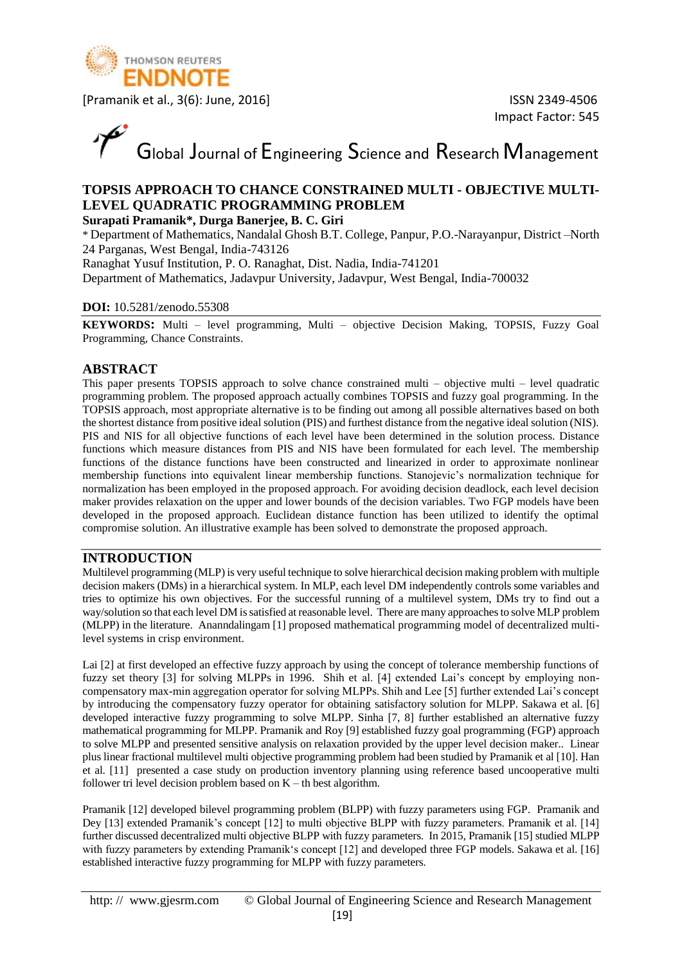

Impact Factor: 545

Global Journal of Engineering Science and Research Management

### **TOPSIS APPROACH TO CHANCE CONSTRAINED MULTI - OBJECTIVE MULTI-LEVEL QUADRATIC PROGRAMMING PROBLEM**

#### **Surapati Pramanik\*, Durga Banerjee, B. C. Giri**

\* Department of Mathematics, Nandalal Ghosh B.T. College, Panpur, P.O.-Narayanpur, District –North 24 Parganas, West Bengal, India-743126

Ranaghat Yusuf Institution, P. O. Ranaghat, Dist. Nadia, India-741201

Department of Mathematics, Jadavpur University, Jadavpur, West Bengal, India-700032

#### **DOI:** 10.5281/zenodo.55308

**KEYWORDS:** Multi – level programming, Multi – objective Decision Making, TOPSIS, Fuzzy Goal Programming, Chance Constraints.

#### **ABSTRACT**

This paper presents TOPSIS approach to solve chance constrained multi – objective multi – level quadratic programming problem. The proposed approach actually combines TOPSIS and fuzzy goal programming. In the TOPSIS approach, most appropriate alternative is to be finding out among all possible alternatives based on both the shortest distance from positive ideal solution (PIS) and furthest distance from the negative ideal solution (NIS). PIS and NIS for all objective functions of each level have been determined in the solution process. Distance functions which measure distances from PIS and NIS have been formulated for each level. The membership functions of the distance functions have been constructed and linearized in order to approximate nonlinear membership functions into equivalent linear membership functions. Stanojevic's normalization technique for normalization has been employed in the proposed approach. For avoiding decision deadlock, each level decision maker provides relaxation on the upper and lower bounds of the decision variables. Two FGP models have been developed in the proposed approach. Euclidean distance function has been utilized to identify the optimal compromise solution. An illustrative example has been solved to demonstrate the proposed approach.

#### **INTRODUCTION**

Multilevel programming (MLP) is very useful technique to solve hierarchical decision making problem with multiple decision makers (DMs) in a hierarchical system. In MLP, each level DM independently controls some variables and tries to optimize his own objectives. For the successful running of a multilevel system, DMs try to find out a way/solution so that each level DM is satisfied at reasonable level. There are many approaches to solve MLP problem (MLPP) in the literature. Ananndalingam [1] proposed mathematical programming model of decentralized multilevel systems in crisp environment.

Lai [2] at first developed an effective fuzzy approach by using the concept of tolerance membership functions of fuzzy set theory [3] for solving MLPPs in 1996. Shih et al. [4] extended Lai's concept by employing noncompensatory max-min aggregation operator for solving MLPPs. Shih and Lee [5] further extended Lai's concept by introducing the compensatory fuzzy operator for obtaining satisfactory solution for MLPP. Sakawa et al. [6] developed interactive fuzzy programming to solve MLPP. Sinha [7, 8] further established an alternative fuzzy mathematical programming for MLPP. Pramanik and Roy [9] established fuzzy goal programming (FGP) approach to solve MLPP and presented sensitive analysis on relaxation provided by the upper level decision maker.. Linear plus linear fractional multilevel multi objective programming problem had been studied by Pramanik et al [10]. Han et al. [11] presented a case study on production inventory planning using reference based uncooperative multi follower tri level decision problem based on  $K - th$  best algorithm.

Pramanik [12] developed bilevel programming problem (BLPP) with fuzzy parameters using FGP. Pramanik and Dey [13] extended Pramanik's concept [12] to multi objective BLPP with fuzzy parameters. Pramanik et al. [14] further discussed decentralized multi objective BLPP with fuzzy parameters. In 2015, Pramanik [15] studied MLPP with fuzzy parameters by extending Pramanik's concept [12] and developed three FGP models. Sakawa et al. [16] established interactive fuzzy programming for MLPP with fuzzy parameters.

http: // www.gjesrm.com © Global Journal of Engineering Science and Research Management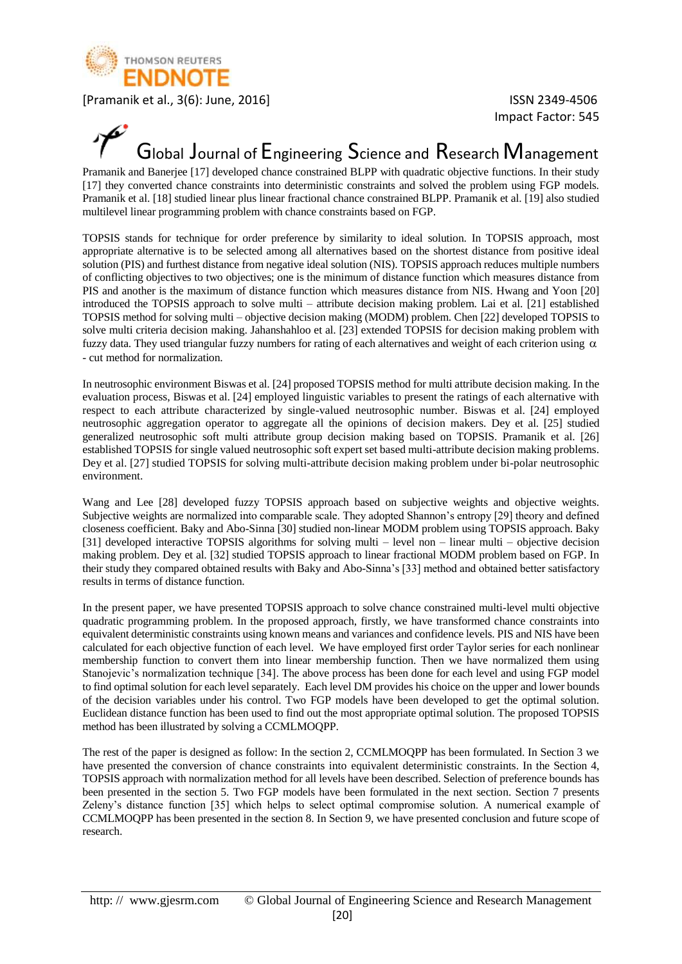

Impact Factor: 545

## Global Journal of Engineering Science and Research Management

Pramanik and Banerjee [17] developed chance constrained BLPP with quadratic objective functions. In their study [17] they converted chance constraints into deterministic constraints and solved the problem using FGP models. Pramanik et al. [18] studied linear plus linear fractional chance constrained BLPP. Pramanik et al. [19] also studied multilevel linear programming problem with chance constraints based on FGP.

TOPSIS stands for technique for order preference by similarity to ideal solution. In TOPSIS approach, most appropriate alternative is to be selected among all alternatives based on the shortest distance from positive ideal solution (PIS) and furthest distance from negative ideal solution (NIS). TOPSIS approach reduces multiple numbers of conflicting objectives to two objectives; one is the minimum of distance function which measures distance from PIS and another is the maximum of distance function which measures distance from NIS. Hwang and Yoon [20] introduced the TOPSIS approach to solve multi – attribute decision making problem. Lai et al. [21] established TOPSIS method for solving multi – objective decision making (MODM) problem. Chen [22] developed TOPSIS to solve multi criteria decision making. Jahanshahloo et al. [23] extended TOPSIS for decision making problem with fuzzy data. They used triangular fuzzy numbers for rating of each alternatives and weight of each criterion using  $\alpha$ - cut method for normalization.

In neutrosophic environment Biswas et al. [24] proposed TOPSIS method for multi attribute decision making. In the evaluation process, Biswas et al. [24] employed linguistic variables to present the ratings of each alternative with respect to each attribute characterized by single-valued neutrosophic number. Biswas et al. [24] employed neutrosophic aggregation operator to aggregate all the opinions of decision makers. Dey et al. [25] studied generalized neutrosophic soft multi attribute group decision making based on TOPSIS. Pramanik et al. [26] established TOPSIS for single valued neutrosophic soft expert set based multi-attribute decision making problems. Dey et al. [27] studied TOPSIS for solving multi-attribute decision making problem under bi-polar neutrosophic environment.

Wang and Lee [28] developed fuzzy TOPSIS approach based on subjective weights and objective weights. Subjective weights are normalized into comparable scale. They adopted Shannon's entropy [29] theory and defined closeness coefficient. Baky and Abo-Sinna [30] studied non-linear MODM problem using TOPSIS approach. Baky [31] developed interactive TOPSIS algorithms for solving multi – level non – linear multi – objective decision making problem. Dey et al. [32] studied TOPSIS approach to linear fractional MODM problem based on FGP. In their study they compared obtained results with Baky and Abo-Sinna's [33] method and obtained better satisfactory results in terms of distance function.

In the present paper, we have presented TOPSIS approach to solve chance constrained multi-level multi objective quadratic programming problem. In the proposed approach, firstly, we have transformed chance constraints into equivalent deterministic constraints using known means and variances and confidence levels. PIS and NIS have been calculated for each objective function of each level. We have employed first order Taylor series for each nonlinear membership function to convert them into linear membership function. Then we have normalized them using Stanojevic's normalization technique [34]. The above process has been done for each level and using FGP model to find optimal solution for each level separately. Each level DM provides his choice on the upper and lower bounds of the decision variables under his control. Two FGP models have been developed to get the optimal solution. Euclidean distance function has been used to find out the most appropriate optimal solution. The proposed TOPSIS method has been illustrated by solving a CCMLMOQPP.

The rest of the paper is designed as follow: In the section 2, CCMLMOQPP has been formulated. In Section 3 we have presented the conversion of chance constraints into equivalent deterministic constraints. In the Section 4, TOPSIS approach with normalization method for all levels have been described. Selection of preference bounds has been presented in the section 5. Two FGP models have been formulated in the next section. Section 7 presents Zeleny's distance function [35] which helps to select optimal compromise solution. A numerical example of CCMLMOQPP has been presented in the section 8. In Section 9, we have presented conclusion and future scope of research.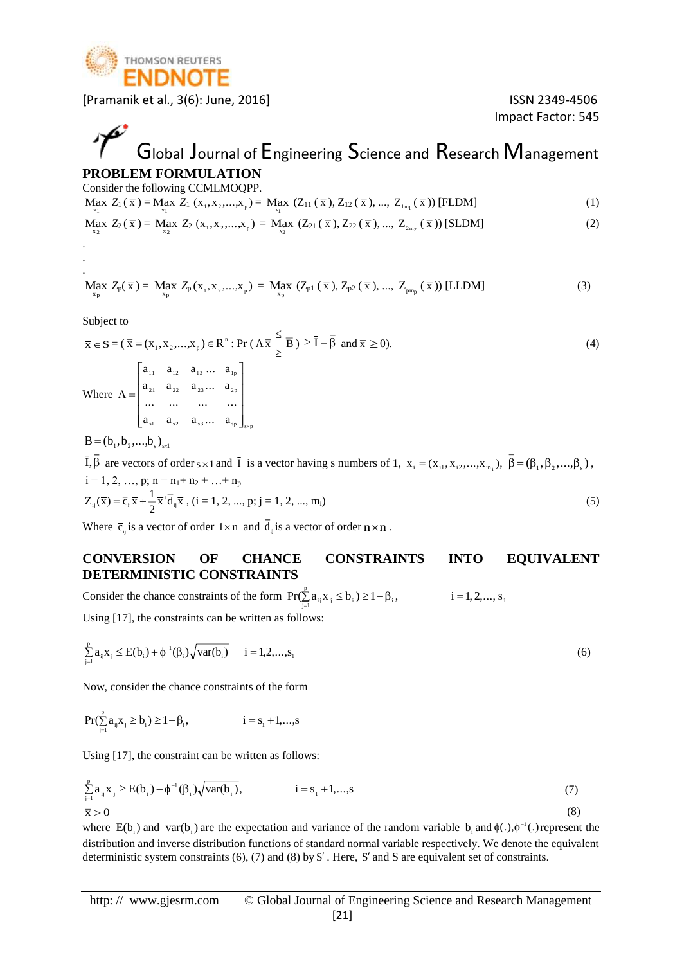

Impact Factor: 545

## Global Journal of Engineering Science and Research Management **PROBLEM FORMULATION**

Consider the following CCMLMOQPP.

$$
\underset{x_1}{\text{Max }} Z_1(\overline{x}) = \underset{x_1}{\text{Max }} Z_1(x_1, x_2, \dots, x_p) = \underset{x_1}{\text{Max }} (Z_{11}(\overline{x}), Z_{12}(\overline{x}), \dots, Z_{1m_1}(\overline{x})) \text{ [FLDM]} \tag{1}
$$

$$
\underset{x_2}{\text{Max }} Z_2(\overline{x}) = \underset{x_2}{\text{Max }} Z_2(x_1, x_2, \dots, x_p) = \underset{x_2}{\text{Max }} (Z_{21}(\overline{x}), Z_{22}(\overline{x}), \dots, Z_{2m_2}(\overline{x})) \text{ [SLDM]} \tag{2}
$$

$$
\underset{x_p}{\text{Max }} Z_p(\bar{x}) = \underset{x_p}{\text{Max }} Z_p(x_1, x_2, \dots, x_p) = \underset{x_p}{\text{Max }} (Z_{p1}(\bar{x}), Z_{p2}(\bar{x}), \dots, Z_{p m_p}(\bar{x})) \text{ [LLDM]} \tag{3}
$$

Subject to

. . .

$$
\overline{x} \in S = (\overline{x} = (x_1, x_2, \dots, x_p) \in R^n : \Pr(\overline{A} \overline{x} \leq \overline{B}) \geq \overline{I} - \overline{\beta} \text{ and } \overline{x} \geq 0).
$$
\n(4)  
\nWhere  $A = \begin{bmatrix} a_{11} & a_{12} & a_{13} & \dots & a_{1p} \\ a_{21} & a_{22} & a_{23} & \dots & a_{2p} \\ \dots & \dots & \dots & \dots \\ a_{s1} & a_{s2} & a_{s3} & \dots & a_{sp} \end{bmatrix}_{ssp}$ 

 $B = (b_1, b_2, ..., b_s)_{s \times 1}$ 

I,  $\beta$  are vectors of order s × 1 and  $\bar{I}$  is a vector having s numbers of 1,  $x_i = (x_{i1}, x_{i2},...,x_{in_i}), \beta = (\beta_1, \beta_2, ..., \beta_s)$ ,  $i = 1, 2, ..., p; n = n_1 + n_2 + ... + n_p$  $\frac{1}{2}\overline{x}^{t}d_{ij}\overline{x}$  $Z_{ij}(\bar{x}) = \bar{c}_{ij}\bar{x} + \frac{1}{2}\bar{x}^{i}\bar{d}_{ij}\bar{x}$ ,  $(i = 1, 2, ..., p; j = 1, 2, ..., m_i)$  (5)

Where  $\overline{c}_{ij}$  is a vector of order  $1 \times n$  and  $d_{ij}$  is a vector of order  $n \times n$ .

#### **CONVERSION OF CHANCE CONSTRAINTS INTO EQUIVALENT DETERMINISTIC CONSTRAINTS**

Consider the chance constraints of the form  $Pr(\sum a_{ii} x_i \le b_i) \ge 1 - \beta_i$ ,  $i = 1, 2, ..., s_1$ p  $Pr(\sum_{j=1}^{\infty} a_{ij} x_j \le b_i) \ge 1 - \beta_i,$   $i = 1, 2, ..., s$ Using [17], the constraints can be written as follows:

$$
\sum_{j=1}^{p} a_{ij} x_j \le E(b_i) + \phi^{-1}(\beta_i) \sqrt{\text{var}(b_i)} \qquad i = 1, 2, ..., s_1
$$
 (6)

Now, consider the chance constraints of the form

$$
Pr(\mathop{\textstyle \sum}_{\scriptscriptstyle j=1}^p a_{\scriptscriptstyle ij} x_{\scriptscriptstyle j} \geq b_{\scriptscriptstyle i}) \geq 1-\beta_{\scriptscriptstyle i}, \hspace{2cm} i=s_{\scriptscriptstyle 1}+1, \hspace{-0.2cm} \dots, \hspace{-0.1cm} s
$$

Using [17], the constraint can be written as follows:

$$
\sum_{j=1}^{p} a_{ij} x_{j} \ge E(b_{i}) - \phi^{-1}(\beta_{i}) \sqrt{\text{var}(b_{i})}, \qquad i = s_{1} + 1, ..., s
$$
\n(7)\n
$$
\bar{x} > 0
$$

where  $E(b_i)$  and var( $b_i$ ) are the expectation and variance of the random variable  $b_i$  and  $\phi(.)$ ,  $\phi^{-1}(.)$  represent the distribution and inverse distribution functions of standard normal variable respectively. We denote the equivalent deterministic system constraints (6), (7) and (8) by S'. Here, S' and S are equivalent set of constraints.

http: // www.gjesrm.com © Global Journal of Engineering Science and Research Management [21]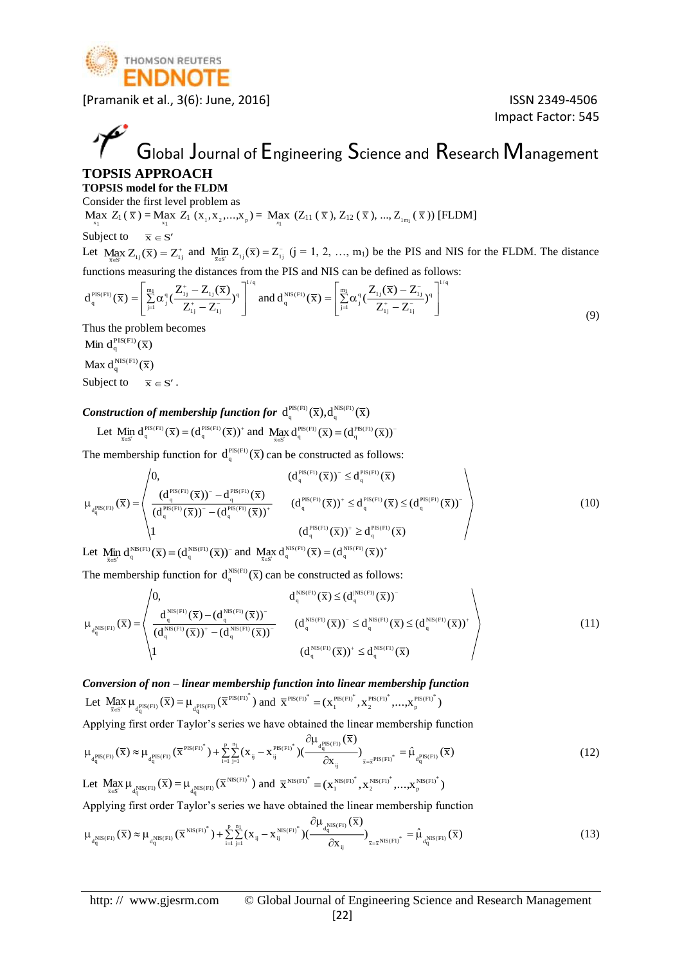

Impact Factor: 545

# Global Journal of Engineering Science and Research Management

#### **TOPSIS APPROACH TOPSIS model for the FLDM**

Consider the first level problem as

 $\max_{x_1} Z_1(\bar{x}) = \max_{x_1} Z_1(x_1, x_2,...,x_p) = \max_{x_1} (Z_{11}(\bar{x}), Z_{12}(\bar{x}), ..., Z_{1m}(\bar{x}))$  [FLDM]

#### Subject to  $\overline{x} \in S'$

Let  $Max Z_{1}(\overline{x}) = Z_{1}^{+}$  $\text{Max}_{\bar{x} \in S} Z_{1j}(\bar{x}) = Z_{1j}^{+}$  and  $\text{Min}_{\bar{x} \in S'} Z_{1j}(\bar{x}) = Z_{1j}^{-}$  $\lim_{\overline{x} \in S'} Z_{ij}(\overline{x}) = Z_{ij}^-(j = 1, 2, ..., m_1)$  be the PIS and NIS for the FLDM. The distance functions measuring the distances from the PIS and NIS can be defined as follows:

$$
d_q^{\text{PIS}(F1)}(\overline{x}) = \left[\sum_{j=1}^{m_1} \alpha_j^q \left(\frac{Z_{1j}^+ - Z_{1j}(\overline{x})}{Z_{1j}^+ - Z_{1j}^-}\right)^q\right]^{1/q} \text{ and } d_q^{\text{NIS}(F1)}(\overline{x}) = \left[\sum_{j=1}^{m_1} \alpha_j^q \left(\frac{Z_{1j}(\overline{x}) - Z_{1j}^-}{Z_{1j}^+ - Z_{1j}^-}\right)^q\right]^{1/q}
$$
\n(9)

Thus the problem becomes

Min  $d_q^{PIS(Fl)}(\overline{x})$ 

Max  $d_q^{\text{NIS(F1)}}(\overline{x})$ 

Subject to  $\overline{x} \in S'$ .

#### *Construction of membership function for*  $d_q^{PIS(F1)}(\overline{X}), d_q^{NS(F1)}(\overline{X})$

$$
\text{Let } \underset{\overline{x} \in S'}{\text{Min }} d_q^{\text{PIS}(F1)}(\overline{x}) = (d_q^{\text{PIS}(F1)}(\overline{x}))^+ \text{ and } \underset{\overline{x} \in S'}{\text{Max }} d_q^{\text{PIS}(F1)}(\overline{x}) = (d_q^{\text{PIS}(F1)}(\overline{x}))^-
$$

The membership function for  $d_q^{PIS(F1)}(\overline{x})$  can be constructed as follows:

$$
\mu_{d_q^{PIS(Fl)}}(\overline{x}) = \n\begin{pmatrix}\n0, & (d_q^{PS(Fl)}(\overline{x}))^- \leq d_q^{PS(Fl)}(\overline{x}) \\
(d_q^{PS(Fl)}(\overline{x}))^- - d_q^{PS(Fl)}(\overline{x}) & (d_q^{PS(Fl)}(\overline{x}))^+ \\
(d_q^{PS(Fl)}(\overline{x}))^- - (d_q^{PS(Fl)}(\overline{x}))^+ & (d_q^{PS(Fl)}(\overline{x}))^+ \leq d_q^{PS(Fl)}(\overline{x}) \leq (d_q^{PS(Fl)}(\overline{x}))^- \\
1 & (d_q^{PS(Fl)}(\overline{x}))^+ \geq d_q^{PS(Fl)}(\overline{x})\n\end{pmatrix}
$$
\n(10)

Let  $\lim_{\overline{x} \in S'} d_q^{\text{NIS}(F1)}(\overline{x}) = (d_q^{\text{NS}(F1)}(\overline{x}))$  and  $\lim_{\overline{x} \in S'} d_q^{\text{NS}(F1)}(\overline{x}) = (d_q^{\text{NIS}(F1)}(\overline{x}))$ <sup>+</sup>  $\operatorname{Max}_{\overline{x} \in S'} d_q^{\operatorname{NIS}(F1)}(\overline{x}) = (d_q^{\operatorname{NIS}(F1)}(\overline{x}))$ 

The membership function for  $d_q^{\text{NS}(F1)}(\bar{x})$  can be constructed as follows:

$$
\mu_{d_q^{NIS(Fl)}}(\overline{x}) = \begin{pmatrix}\n0, & d_q^{NIS(Fl)}(\overline{x}) \leq (d_q^{NIS(Fl)}(\overline{x}))^-\n\\ \n\frac{d_q^{NIS(Fl)}(\overline{x}) - (d_q^{NIS(Fl)}(\overline{x}))^-\n\\ \n(d_q^{NIS(Fl)}(\overline{x}))^+ - (d_q^{NIS(Fl)}(\overline{x}))^-\n\\ \n1 & (d_q^{NIS(Fl)}(\overline{x}))^+ \leq d_q^{NIS(Fl)}(\overline{x})\n\end{pmatrix} \tag{11}
$$

*Conversion of non – linear membership function into linear membership function*  Let  $\lim_{\bar{x} \in S'} \mu_{\frac{P^{BS}(F1)}{dq}}(\bar{x}) = \mu_{\frac{P^{BS}(F1)}{dq}}(\bar{x}^{PIS(F1)^*})$  and  $\bar{x}^{PIS(F1)^*} = (x_1^{PIS(F1)^*}, x_2^{PIS(F1)^*}, ..., x_p^{PIS(F1)^*})$ \* PIS(F1) 2 \* PIS(F1) 1  $PIS(F1)^* =$ 

Applying first order Taylor's series we have obtained the linear membership function

$$
\mu_{d_q^{PIS(Fl)}}(\overline{x}) \approx \mu_{d_q^{PIS(Fl)}}(\overline{x}^{PIS(Fl)^*}) + \sum_{i=1}^{p} \sum_{j=1}^{n_1} (x_{ij} - x_{ij}^{PIS(Fl)^*}) (\frac{\partial \mu_{d_q^{PIS(Fl)}}(\overline{x})}{\partial x_{ij}})_{\overline{x} = \overline{x}^{PIS(Fl)^*}} = \hat{\mu}_{d_q^{PIS(Fl)}}(\overline{x})
$$
\n(12)

Let  $\lim_{\bar{x} \in S'} \mu_{d_q^{\text{NIS}(F1)}}(\bar{x}) = \mu_{d_q^{\text{NIS}(F1)}}(\bar{x}^{\text{NIS}(F1)^*})$  and  $\bar{x}^{\text{NIS}(F1)^*} = (x_1^{\text{NIS}(F1)^*}, x_2^{\text{NIS}(F1)^*}, ..., x_p^{\text{NIS}(F1)^*})$ \* NIS(F1) 2 \* NIS(F1) 1  $\frac{NIS(F1)^*}{\pi}$  = Applying first order Taylor's series we have obtained the linear membership function

$$
\mu_{d_q^{NIS(Fl)}}(\overline{x}) \approx \mu_{d_q^{NIS(Fl)}}(\overline{x}^{NIS(Fl)^*}) + \sum_{i=1}^p \sum_{j=1}^{n_1} (x_{ij} - x_{ij}^{NIS(Fl)^*}) (\frac{\partial \mu_{d_q^{NIS(Fl)}}(\overline{x})}{\partial x_{ij}})_{\overline{x} = \overline{x}^{NIS(Fl)^*}} = \hat{\mu}_{d_q^{NIS(Fl)}}(\overline{x})
$$
\n(13)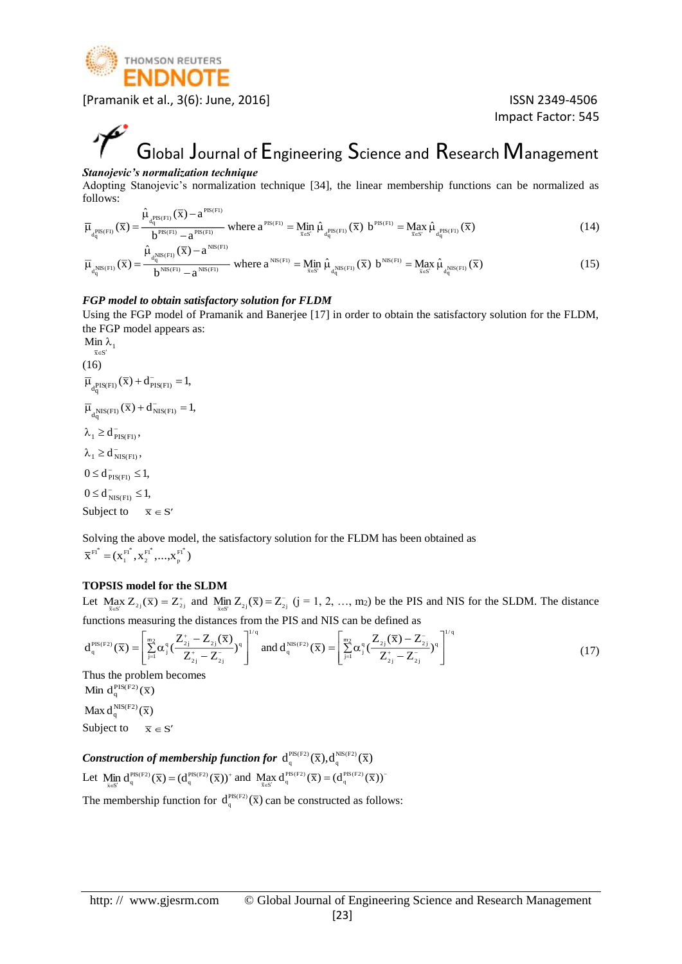

Impact Factor: 545

# Global Journal of Engineering Science and Research Management

#### *Stanojevic's normalization technique*

Adopting Stanojevic's normalization technique [34], the linear membership functions can be normalized as follows: PIS(F1)

$$
\overline{\mu}_{d_q^{PIS(Fl)}}(\overline{x}) = \frac{\hat{\mu}_{d_q^{PIS(Fl)}}(\overline{x}) - a^{PIS(Fl)}}{b^{PIS(Fl)} - a^{PIS(Fl)}} \text{ where } a^{PIS(Fl)} = \underset{\overline{x} \in S'}{\text{Min}} \hat{\mu}_{d_q^{PIS(Fl)}}(\overline{x}) \ b^{PIS(Fl)} = \underset{\overline{x} \in S'}{\text{Max}} \hat{\mu}_{d_q^{PIS(Fl)}}(\overline{x})
$$
\n
$$
\hat{\mu}_{NIS(Fl)}(\overline{x}) - a^{NIS(Fl)} \tag{14}
$$

$$
\overline{\mu}_{d_q^{\text{NIS}(Fl)}}(\overline{x}) = \frac{\mu_{d_q^{\text{NIS}(Fl)}}(x) - a}{b^{\text{NIS}(Fl)} - a^{\text{NIS}(Fl)}} \text{ where } a^{\text{NIS}(Fl)} = \underline{\text{Min}}_{\overline{x} \in S'} \hat{\mu}_{d_q^{\text{NIS}(Fl)}}(\overline{x}) \ b^{\text{NIS}(Fl)} = \underline{\text{Max}}_{\overline{x} \in S'} \hat{\mu}_{d_q^{\text{NIS}(Fl)}}(\overline{x}) \tag{15}
$$

#### *FGP model to obtain satisfactory solution for FLDM*

Using the FGP model of Pramanik and Banerjee [17] in order to obtain the satisfactory solution for the FLDM, the FGP model appears as:

$$
\begin{aligned}\n\mathop{\rm Min}_{\bar{x}\in S'} & \lambda_1 \\
(16) & \overline{\mu}_{d_q^{PIS(F1)}}(\bar{x}) + d_{PIS(F1)}^{-1} = 1, \\
\overline{\mu}_{d_q^{NIS(F1)}}(\bar{x}) + d_{NIS(F1)}^{-1} = 1, \\
\lambda_1 &\geq d_{PIS(F1)}^{-1}, \\
\lambda_1 &\geq d_{NIS(F1)}^{-1}, \\
0 \leq d_{PIS(F1)}^{-1} \leq 1, \\
0 \leq d_{NIS(F1)}^{-1} \leq 1, \\
\text{Subject to} \quad \bar{x} \in S'\n\end{aligned}
$$

Solving the above model, the satisfactory solution for the FLDM has been obtained as  $\overline{X}^{\text{FI}^*} = (X_1^{\text{FI}^*}, X_2^{\text{FI}^*}, ..., X_n^{\text{FI}^*})$ p \* F1 2 \* F1 1  $F1^* =$ 

#### **TOPSIS model for the SLDM**

Let Max  $Z_{2i}(\overline{x}) = Z_{2i}^{+}$  $\max_{\overline{x} \in S'} Z_{2j}(\overline{x}) = Z_{2j}^+$  and  $\min_{\overline{x} \in S'} Z_{2j}(\overline{x}) = Z_{2j}^-$  (j = 1, 2, ..., m<sub>2</sub>) be the PIS and NIS for the SLDM. The distance functions measuring the distances from the PIS and NIS can be defined as

$$
d_q^{\text{PIS}(F2)}(\overline{x}) = \left[\sum_{j=1}^{m_2} \alpha_j^q \left(\frac{Z_{2j}^+ - Z_{2j}(\overline{x})}{Z_{2j}^+ - Z_{2j}^-}\right)^q\right]^{1/q} \text{ and } d_q^{\text{NIS}(F2)}(\overline{x}) = \left[\sum_{j=1}^{m_2} \alpha_j^q \left(\frac{Z_{2j}(\overline{x}) - Z_{2j}^-}{Z_{2j}^+ - Z_{2j}^-}\right)^q\right]^{1/q}
$$
(17)

Thus the problem becomes Min  $d_q^{PIS(F2)}(\overline{x})$ Max  $d_q^{\text{NIS(F2)}}(\overline{x})$ Subject to  $\overline{x} \in S'$ 

*Construction of membership function for*  $d_q^{PIS(F2)}(\overline{X}), d_q^{NS(F2)}(\overline{X})$ Let Min  $d_a^{PIS(F2)}(\overline{x}) = (d_a^{PIS(F2)}(\overline{x}))^+$  $\lim_{\overline{x} \in S'} d_q^{\text{PIS}(F2)}(\overline{x}) = (d_q^{\text{PIS}(F2)}(\overline{x}))^+$  and  $\lim_{\overline{x} \in S'} d_q^{\text{PIS}(F2)}(\overline{x}) = (d_q^{\text{PIS}(F2)}(\overline{x}))^ \operatorname{Max}_{\overline{x} \in S'} d_q^{\operatorname{PIS}(F2)}(\overline{x}) = (d_q^{\operatorname{PIS}(F2)}(\overline{x}))$ 

The membership function for  $d_q^{PIS(P2)}(\bar{x})$  can be constructed as follows: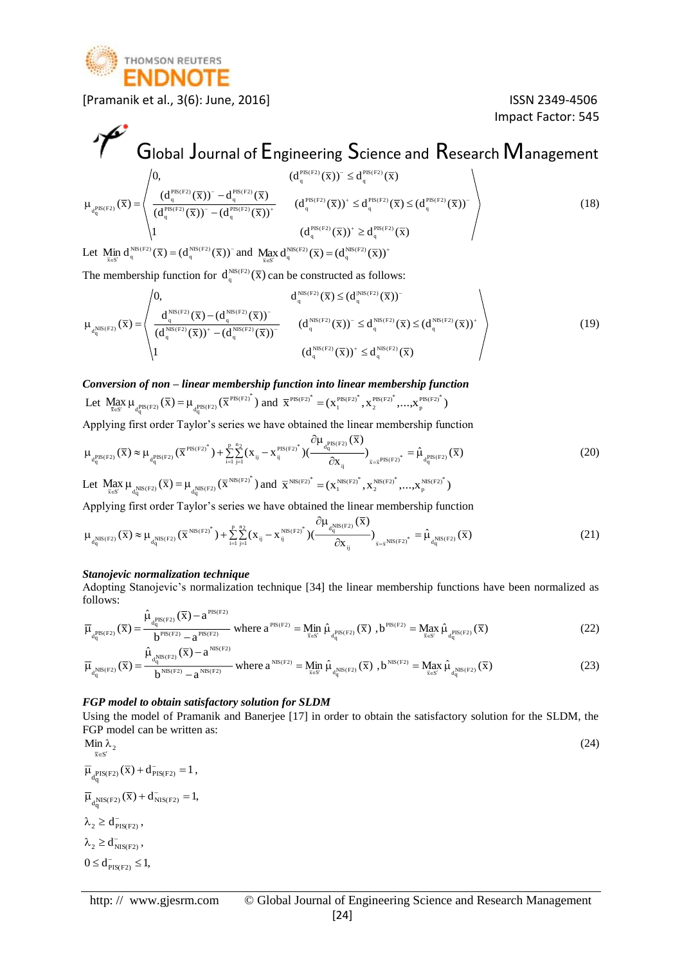

Impact Factor: 545

#### Global Journal of Engineering Science and Research Management  $\frac{q}{(d_q^{\text{PS}(F2)}(\bar{x}))^2 - (d_q^{\text{PS}(F2)}(\bar{x}))^+}$   $(d_q^{\text{PS}(F2)}(\bar{x}))^+ \leq d_q^{\text{PS}(F2)}(\bar{x}) \leq (d_q^{\text{PS}(F2)}(\bar{x}))$  $(d_c^{\text{PIS(F2)}}(\overline{x}))^- - d_c^{\text{PIS(F2)}}(\overline{x})$ 0,  $(d_a^{\text{PIS}(F2)}(\overline{x}))^{\text{T}} \leq d_a^{\text{PIS}(F2)}(\overline{x})$  $(\overline{\mathrm{x}})$  $\frac{q}{q} \frac{(1.77)^{3/2} - q}{(1.77)^{2}} = \frac{q}{(1.77)^{2}}$   $\frac{q}{(1.77)^{2}}$   $\frac{q}{(1.77)^{2}}$   $\frac{q}{(1.77)^{2}}$   $\frac{q}{(1.77)^{2}}$   $\frac{q}{(1.77)^{2}}$   $\frac{q}{(1.77)^{2}}$   $\frac{q}{(1.77)^{2}}$   $\frac{q}{(1.77)^{2}}$   $\frac{q}{(1.77)^{2}}$   $\frac{q}{(1.77)^{2}}$   $\binom{p_{\text{IS(F2)}}}{q}(\overline{\textbf{X}}))^{-} - \textbf{d}_{q}^{\text{PIS(F2)}}$  $\frac{\text{PIS}(F2)}{q}(\overline{X}))^{-} \leq d_q^{\frac{\text{PIS}(F2)}{q}}$  $d_{\bf q}^{\rm PIS(F2)}$  $\frac{q}{-({\textnormal{d}}_{\textnormal{c}}^{\textnormal{PIS(F2)}}(\overline{\textnormal{x}}))^{+}}$   $({\textnormal{d}}_{\textnormal{q}}^{\textnormal{PIS(F2)}}(\overline{\textnormal{x}}))^{+} \leq {\textnormal{d}}_{\textnormal{q}}^{\textnormal{PIS(F2)}}(\overline{\textnormal{x}}) \leq$ Ξ.  $\leq$  $\mu_{\text{PIS(F2)}}(x) =$  $\frac{d^2y}{dx^2} = \frac{d^2y}{dx^2}$   $\frac{d^2y}{dx^2} = \frac{d^2y}{dx^2}$   $\frac{d^2y}{dx^2} = \frac{d^2y}{dx^2}$   $\frac{d^2y}{dx^2} = \frac{d^2y}{dx^2}$   $\frac{d^2y}{dx^2} = \frac{d^2y}{dx^2}$ Ξ Ξ (18)

≥

 $\binom{PIS(F2)}{q}(\overline{X})^+ \geq d_q^{\text{PIS}(F2)}$ Let  $\lim_{\overline{x} \in S'} d_q^{\text{NIS}(F2)}(\overline{x}) = (d_q^{\text{NS}(F2)}(\overline{x}))$  and  $\lim_{\overline{x} \in S'} d_q^{\text{NS}(F2)}(\overline{x}) = (d_q^{\text{NS}(F2)}(\overline{x}))$ <sup>+</sup>

The membership function for  $d_q^{\text{NS}(F2)}(\bar{x})$  can be constructed as follows:

$$
\mu_{d_q^{NIS(F2)}}(\overline{x}) = \begin{pmatrix} 0, & d_q^{NIS(F2)}(\overline{x}) \leq (d_q^{NIS(F2)}(\overline{x}))^- \\ d_q^{NIS(F2)}(\overline{x}) - (d_q^{NIS(F2)}(\overline{x}))^- \\ (d_q^{NIS(F2)}(\overline{x}))^+ - (d_q^{NIS(F2)}(\overline{x}))^- \end{pmatrix} \qquad (d_q^{NIS(F2)}(\overline{x}))^- \leq d_q^{NIS(F2)}(\overline{x}) \leq (d_q^{NIS(F2)}(\overline{x}))^+ \\qquad \qquad (19)
$$

*Conversion of non – linear membership function into linear membership function*  Let  $\lim_{\bar{x} \in S'} \mu_{\frac{\text{PIS}(F2)}{dq}(x)}(\bar{x}) = \mu_{\frac{\text{PIS}(F2)}{dq}(x)}(\bar{x}^{\text{PIS}(F2)^{*}})$  and  $\bar{x}^{\text{PIS}(F2)^{*}} = (\bar{x}_1^{\text{PIS}(F2)^{*}}, \bar{x}_2^{\text{PIS}(F2)^{*}}, \dots, \bar{x}_p^{\text{PIS}(F2)^{*}})$ \* PIS(F2) 2 \* PIS(F2) 1  $PIS(F2)^* =$ 

1  $(d_a^{\text{PIS}(F2)}(\overline{x}))^* \geq d_a^{\text{PIS}(F2)}(\overline{x})$ 

Applying first order Taylor's series we have obtained the linear membership function

$$
\mu_{d_q^{PIS(F2)}}(\overline{x}) \approx \mu_{d_q^{PIS(F2)}}(\overline{x}^{PIS(F2)^*}) + \sum_{i=1}^p \sum_{j=1}^{n_2} (x_{ij} - x_{ij}^{PIS(F2)^*}) (\frac{\partial \mu_{d_q^{PIS(F2)}}(\overline{x})}{\partial x_{ij}})_{\overline{x} = \overline{x}^{PIS(F2)^*}} = \hat{\mu}_{d_q^{PIS(F2)}}(\overline{x})
$$
\nLet  $\underline{M}_{\overline{x}^{S}} \mu_{d_q^{NIS(F2)}}(\overline{x}) = \mu_{d_q^{NIS(F2)}}(\overline{x})^{NIS(F2)^*}$  and  $\overline{x}^{NIS(F2)^*} = (x_1^{NIS(F2)^*}, x_2^{NIS(F2)^*}, \dots, x_p^{NIS(F2)^*})$  (20)

Applying first order Taylor's series we have obtained the linear membership function

$$
\mu_{d_q^{\text{NIS}(F2)}}(\overline{x}) \approx \mu_{d_q^{\text{NIS}(F2)}}(\overline{x}^{\text{NIS}(F2)^*}) + \sum_{i=1}^p \sum_{j=1}^{n_2} (x_{ij} - x_{ij}^{\text{NIS}(F2)^*}) \left(\frac{\partial \mu_{d_q^{\text{NIS}(F2)}}(\overline{x})}{\partial x_{ij}}\right)_{\overline{x} = \overline{x}^{\text{NIS}(F2)^*}} = \hat{\mu}_{d_q^{\text{NIS}(F2)}}(\overline{x})
$$
\n(21)

#### *Stanojevic normalization technique*

ˆ

q

q

Adopting Stanojevic's normalization technique [34] the linear membership functions have been normalized as follows: PIS(F2)

$$
\overline{\mu}_{d_q^{PIS(F2)}}(\overline{x}) = \frac{\hat{\mu}_{d_q^{PIS(F2)}}(\overline{x}) - a^{PIS(F2)}}{b^{PIS(F2)} - a^{PIS(F2)}} \text{ where } a^{PIS(F2)} = \underset{\overline{x} \in S'}{\text{Min}} \hat{\mu}_{d_q^{PIS(F2)}}(\overline{x}), b^{PIS(F2)} = \underset{\overline{x} \in S'}{\text{Max}} \hat{\mu}_{d_q^{PIS(F2)}}(\overline{x})
$$
\n
$$
\hat{\mu}_{d_q^{PIS(F2)}}(\overline{x}) = \underset{\overline{x} \in S'}{\text{Max}} \hat{\mu}_{d_q^{PIS(F2)}}(\overline{x})
$$
\n
$$
(22)
$$

$$
\overline{\mu}_{d_q^{NIS(F2)}}(\overline{x}) = \frac{\hat{\mu}_{d_q^{NIS(F2)}}(\overline{x}) - a^{NIS(F2)}}{b^{NIS(F2)} - a^{NIS(F2)}} \text{ where } a^{NIS(F2)} = \underset{\overline{x} \in S'}{\text{Min}} \hat{\mu}_{d_q^{NIS(F2)}}(\overline{x}) \text{ , } b^{NIS(F2)} = \underset{\overline{x} \in S'}{\text{Max}} \hat{\mu}_{d_q^{NIS(F2)}}(\overline{x}) \tag{23}
$$

#### *FGP model to obtain satisfactory solution for SLDM*

Using the model of Pramanik and Banerjee [17] in order to obtain the satisfactory solution for the SLDM, the FGP model can be written as: Min  $\lambda$ 

$$
\begin{aligned}\n\min_{\bar{x} \in S'} & \lambda_2 \\
\overline{\mu}_{d_q^{PIS(F2)}}(\overline{x}) + d_{PIS(F2)}^{-} &= 1, \\
\overline{\mu}_{d_q^{NIS(F2)}}(\overline{x}) + d_{NIS(F2)}^{-} &= 1, \\
\lambda_2 &\geq d_{PIS(F2)}^{-},\n\end{aligned}\n\tag{24}
$$

$$
\lambda_2 \geq d_{NIS(F2)}^-,
$$

$$
0 \leq d_{\text{PIS}(F2)}^- \leq 1,
$$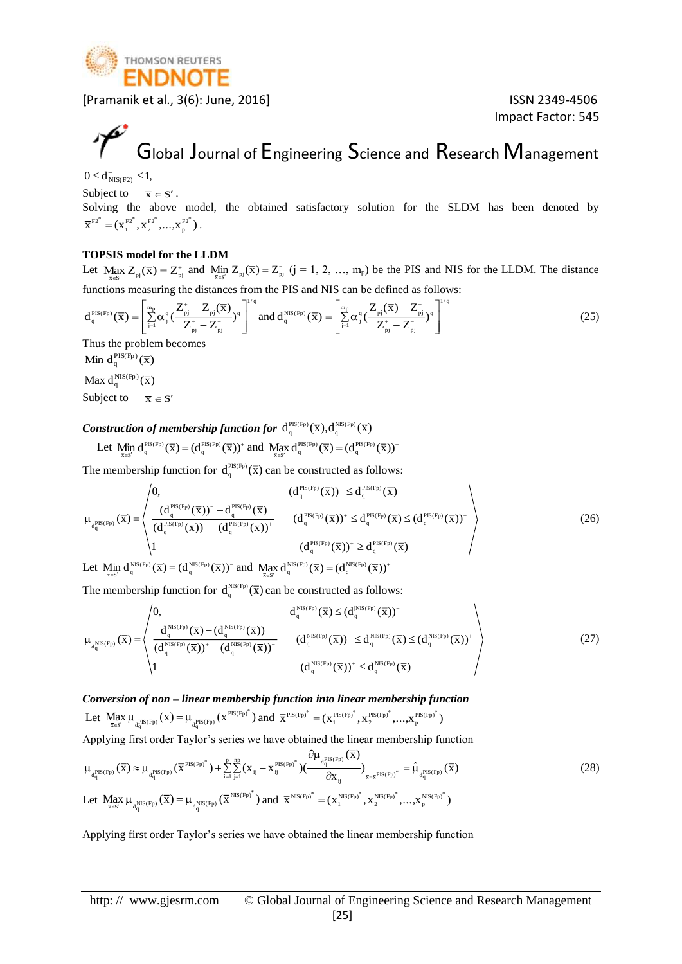

Impact Factor: 545

# Global Journal of Engineering Science and Research Management

 $0 \le d_{NIS(F2)}^{-} \le 1,$ 

Subject to  $\overline{x} \in S'$ .

Solving the above model, the obtained satisfactory solution for the SLDM has been denoted by  $\overline{\mathbf{X}}^{\text{F2}^*} = (\mathbf{X}^{\text{F2}^*}_{1}, \mathbf{X}^{\text{F2}^*}_{2}, ..., \mathbf{X}^{\text{F2}^*}_{n})$ \* F2 2 \* F2 1  $F2^* = (X_1^{F2^*}, X_2^{F2^*}, ..., X_n^{F2^*}).$ 

#### **TOPSIS model for the LLDM**

Let Max  $Z_{ni}(\overline{x}) = Z_{ni}^+$  $\max_{\overline{x} \in S'} Z_{pi}(\overline{x}) = Z_{pi}^{+}$  and  $\min_{\overline{x} \in S'} Z_{pi}(\overline{x}) = Z_{pi}^{-}$  (j = 1, 2, ..., m<sub>p</sub>) be the PIS and NIS for the LLDM. The distance functions measuring the distances from the PIS and NIS can be defined as follows:

$$
d_q^{\text{PIS(Fp)}}(\overline{x}) = \left[\sum_{j=1}^{m_p} \alpha_j^q \left(\frac{Z_{pj}^+ - Z_{pj}(\overline{x})}{Z_{pj}^+ - Z_{pj}^-}\right)^q\right]^{1/q} \text{ and } d_q^{\text{NIS(Fp)}}(\overline{x}) = \left[\sum_{j=1}^{m_p} \alpha_j^q \left(\frac{Z_{pj}(\overline{x}) - Z_{pj}^-}{Z_{pj}^+ - Z_{pj}^-}\right)^q\right]^{1/q}
$$
(25)

Thus the problem becomes

Min  $d_q^{PIS(Fp)}(\overline{x})$ 

Max  $d_q^{\text{NIS(Fp)}}(\overline{x})$ 

Subject to  $\overline{x} \in S'$ 

#### *Construction of membership function for*  $d_q^{PIS(Fp)}(\overline{X}), d_q^{NS(Fp)}(\overline{X})$

$$
\text{Let } \underset{\overline{x}\in S'}{\text{Min}}\ d_q^{\text{PIS(Fp)}}(\overline{x})=(d_q^{\text{PIS(Fp)}}(\overline{x}))^+\ \text{and }\ \underset{\overline{x}\in S'}{\text{Max}}\ d_q^{\text{PIS(Fp)}}(\overline{x})=(d_q^{\text{PIS(Fp)}}(\overline{x}))^{\widehat{\ }}\\
$$

The membership function for  $d_q^{PIS(Pp)}(\bar{x})$  can be constructed as follows:

$$
\mu_{d_q^{PIS(Fp)}}(\overline{x}) = \n\begin{pmatrix}\n0, & (d_q^{PIS(Fp)}(\overline{x}))^{\tilde{}} \leq d_q^{PIS(Fp)}(\overline{x}) \\
(d_q^{PIS(Fp)}(\overline{x}))^{\tilde{}} - d_q^{PIS(Fp)}(\overline{x}) & (d_q^{PIS(Fp)}(\overline{x}))^{\tilde{}} \\
(d_q^{PIS(Fp)}(\overline{x}))^{\tilde{}} - (d_q^{PIS(Fp)}(\overline{x}))^{\tilde{}} & (d_q^{PIS(Fp)}(\overline{x}))^{\tilde{}} \leq d_q^{PIS(Fp)}(\overline{x}) \leq (d_q^{PIS(Fp)}(\overline{x}))^{\tilde{}} \\
1 & (d_q^{PIS(Fp)}(\overline{x}))^{\tilde{}} \geq d_q^{PIS(Fp)}(\overline{x}) & (26)\n\end{pmatrix}
$$

Let  $\lim_{\overline{x} \in S'} d_q^{\text{NIS}(Fp)}(\overline{x}) = (d_q^{\text{NIS}(Fp)}(\overline{x}))^{\text{-}}$  and  $\lim_{\overline{x} \in S'} d_q^{\text{NIS}(Fp)}(\overline{x}) = (d_q^{\text{NIS}(Fp)}(\overline{x}))^{\text{+}}$ 

The membership function for  $d_q^{\text{NS}(F_p)}(\bar{x})$  can be constructed as follows:

$$
\mu_{d_q^{\text{NIS}(Fp)}}(\overline{x}) = \begin{pmatrix} 0, & d_q^{\text{NIS}(Fp)}(\overline{x}) \leq (d_q^{\text{NIS}(Fp)}(\overline{x}))^- \\ \frac{d_q^{\text{NIS}(Fp)}(\overline{x}) - (d_q^{\text{NIS}(Fp)}(\overline{x}))^-}{(d_q^{\text{NIS}(Fp)}(\overline{x}))^+ - (d_q^{\text{NIS}(Fp)}(\overline{x}))^-} & (d_q^{\text{NIS}(Fp)}(\overline{x}))^- \leq d_q^{\text{NIS}(Fp)}(\overline{x}) \leq (d_q^{\text{NIS}(Fp)}(\overline{x}))^+ \\ 1 & (d_q^{\text{NIS}(Fp)}(\overline{x}))^+ \leq d_q^{\text{NIS}(Fp)}(\overline{x}) \end{pmatrix}
$$
(27)

*Conversion of non – linear membership function into linear membership function*  Let  $\max_{\bar{x} \in S'} \mu_{d_q^{\text{PIS(Fp)}}}(\bar{x}) = \mu_{d_q^{\text{PIS(Fp)}}}(\bar{x}^{\text{PIS(Fp)}})$  and  $\bar{x}^{\text{PIS(Fp)}} = (x_1^{\text{PIS(Fp)}}^*, x_2^{\text{PIS(Fp)}}^*, ..., x_p^{\text{PIS(Fp)}})$ \* PIS(Fp) 2 \* PIS(Fp) 1  $PIS(Fp)^* =$ 

Applying first order Taylor's series we have obtained the linear membership function

$$
\mu_{d_q^{PIS(Fp)}}(\overline{x}) \approx \mu_{d_q^{PIS(Fp)}}(\overline{x}^{PIS(Fp)^*}) + \sum_{i=1}^p \sum_{j=1}^{np} (x_{ij} - x_{ij}^{PIS(Fp)^*}) (\frac{\partial \mu_{d_q^{PIS(Fp)}}(\overline{x})}{\partial x_{ij}})_{\overline{x} = \overline{x}^{PIS(Fp)^*}} = \hat{\mu}_{d_q^{PIS(Fp)}}(\overline{x})
$$
\nLet 
$$
\lim_{\overline{x} \in S'} \mu_{d_q^{NIS(Fp)}}(\overline{x}) = \mu_{d_q^{NIS(Fp)}}(\overline{x}^{NIS(Fp)^*}) \text{ and } \overline{x}^{NIS(Fp)^*} = (x_1^{NIS(Fp)^*}, x_2^{NIS(Fp)^*}, \dots, x_p^{NIS(Fp)^*})
$$
\n(28)

Applying first order Taylor's series we have obtained the linear membership function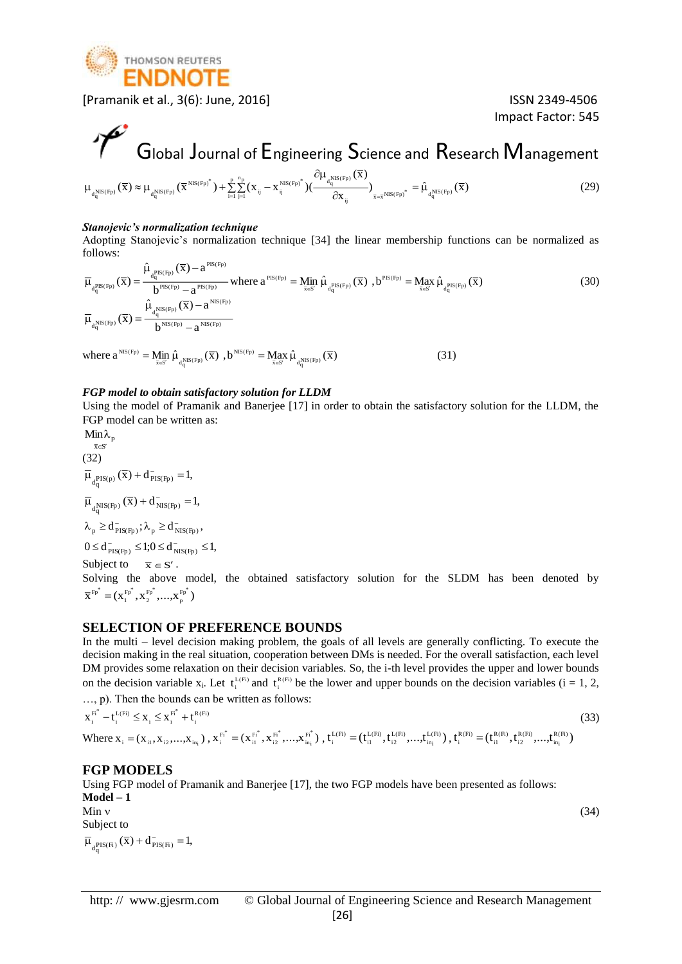

Impact Factor: 545

# Global Journal of Engineering Science and Research Management

$$
\mu_{d_q^{NIS(Fp)}}(\overline{x}) \approx \mu_{d_q^{NIS(Fp)}}(\overline{x}^{NIS(Fp)^*}) + \sum_{i=1}^p \sum_{j=1}^{n_p} (x_{ij} - x_{ij}^{NIS(Fp)^*}) (\frac{\partial \mu_{d_q^{NIS(Fp)}}(\overline{x})}{\partial x_{ij}})_{\overline{x} = \overline{x}^{NIS(Fp)^*}} = \hat{\mu}_{d_q^{NIS(Fp)}}(\overline{x})
$$
\n(29)

#### *Stanojevic's normalization technique*

Adopting Stanojevic's normalization technique [34] the linear membership functions can be normalized as follows:

$$
\overline{\mu}_{d_{q}^{PIS(Fp)}}(\overline{x}) = \frac{\hat{\mu}_{d_{q}^{PIS(Fp)}}(\overline{x}) - a^{PIS(Fp)}}{b^{PIS(Fp)} - a^{PIS(Fp)}} \text{ where } a^{PIS(Fp)} = \underset{\overline{x} \in S'}{\text{Min}} \hat{\mu}_{d_{q}^{PIS(Fp)}}(\overline{x}) , b^{PIS(Fp)} = \underset{\overline{x} \in S'}{\text{Max}} \hat{\mu}_{d_{q}^{PIS(Fp)}}(\overline{x})
$$
\n
$$
\overline{\mu}_{d_{q}^{NIS(Fp)}}(\overline{x}) = \frac{\hat{\mu}_{d_{q}^{NIS(Fp)}}(\overline{x}) - a^{NIS(Fp)}}{b^{NIS(Fp)} - a^{NIS(Fp)}}
$$
\n(30)

where  $a^{NIS(Fp)} = M_{\bar{x} \in S'}$   $\hat{\mu}_{d_q^{NIS(Fp)}}(\bar{x})$  $\mathbb{M}^{\text{NS}(\text{Fp})} = \operatorname*{Min}_{\vec{\mathbf{x}} \in \text{S}^{\prime}} \hat{\mu}_{\mathbf{d}^{\text{NIS}(\text{Fp})}_\text{q}}(\overline{\mathbf{x}}) \enspace , \mathbf{b}^{\text{NIS}(\text{Fp})} = \operatorname*{Max}_{\vec{\mathbf{x}} \in \text{S}^{\prime}} \hat{\mu}_{\mathbf{d}^{\text{NIS}(\text{Fp})}_\text{q}}(\overline{\mathbf{x}})$  $NIS(Fp) = \text{Max}_{\bar{x} \in S'} \hat{\mu}$ (31)

#### *FGP model to obtain satisfactory solution for LLDM*

Using the model of Pramanik and Banerjee [17] in order to obtain the satisfactory solution for the LLDM, the FGP model can be written as:

⊼∈S′  $Min\lambda_p$  $\lambda_{\rm n}$ (32)  $\overline{\mu}_{d^{\textrm{PIS(p)}}_{\textrm{q}}}(\overline{x}) + d^{\textrm{-}}_{\textrm{PIS(Fp)}} = 1,$  $\overline{\mu}_{d^{\text{NIS(Fp)}}_{q}}(\overline{x}) + d^{\top}_{\text{NIS(Fp)}} = 1,$  $0 \le d_{\text{PIS(Fp)}}^- \le 1; 0 \le d_{\text{NIS(Fp)}}^- \le 1,$  $\lambda_{\rm p} \geq d_{\rm PIS(Fp)}^-$ ;  $\lambda_{\rm p} \geq d_{\rm NIS(Fp)}^-$ , Subject to  $\overline{x} \in S'$ .

Solving the above model, the obtained satisfactory solution for the SLDM has been denoted by  $\overline{\mathrm{X}}^{\mathrm{Fp}^{\mathrm{*}}}=(\mathrm{X}_1^{\mathrm{Fp}^{\mathrm{*}}}, \mathrm{X}_2^{\mathrm{Fp}^{\mathrm{*}}},...,\mathrm{X}_p^{\mathrm{Fp}^{\mathrm{*}}})$ \* Fp 2 \* Fp 1  $F_{p}^* =$ 

#### **SELECTION OF PREFERENCE BOUNDS**

In the multi – level decision making problem, the goals of all levels are generally conflicting. To execute the decision making in the real situation, cooperation between DMs is needed. For the overall satisfaction, each level DM provides some relaxation on their decision variables. So, the i-th level provides the upper and lower bounds on the decision variable  $x_i$ . Let  $t_i^{L(F_i)}$  and  $t_i^{R(F_i)}$  be the lower and upper bounds on the decision variables (i = 1, 2, …, p). Then the bounds can be written as follows:

$$
x_{i}^{F_{i}^{*}} - t_{i}^{L(F_{i})} \leq x_{i} \leq x_{i}^{F_{i}^{*}} + t_{i}^{R(F_{i})}
$$
\n
$$
x_{i}^{F_{i}^{*}} = (x_{i1}, x_{i2},...,x_{in_{i}}), x_{i}^{F_{i}^{*}} = (x_{i1}^{F_{i}^{*}}, x_{i2}^{F_{i}^{*}},...,x_{in_{i}}^{F_{i}^{*}}), t_{i}^{L(F_{i})} = (t_{i1}^{L(F_{i})}, t_{i2}^{L(F_{i})},...,t_{in_{i}}^{L(F_{i})}), t_{i}^{R(F_{i})} = (t_{i1}^{R(F_{i})}, t_{i2}^{R(F_{i})},...,t_{in_{i}}^{R(F_{i})})
$$
\n
$$
(33)
$$

#### **FGP MODELS**

Using FGP model of Pramanik and Banerjee [17], the two FGP models have been presented as follows: **Model – 1** Min  $\sqrt{34}$ Subject to

 $\overline{\mu}_{d^{\textrm{PIS}(Fi)}_{q}}(\overline{x}) + d^{\dagger}_{\textrm{PIS}(Fi)} = 1,$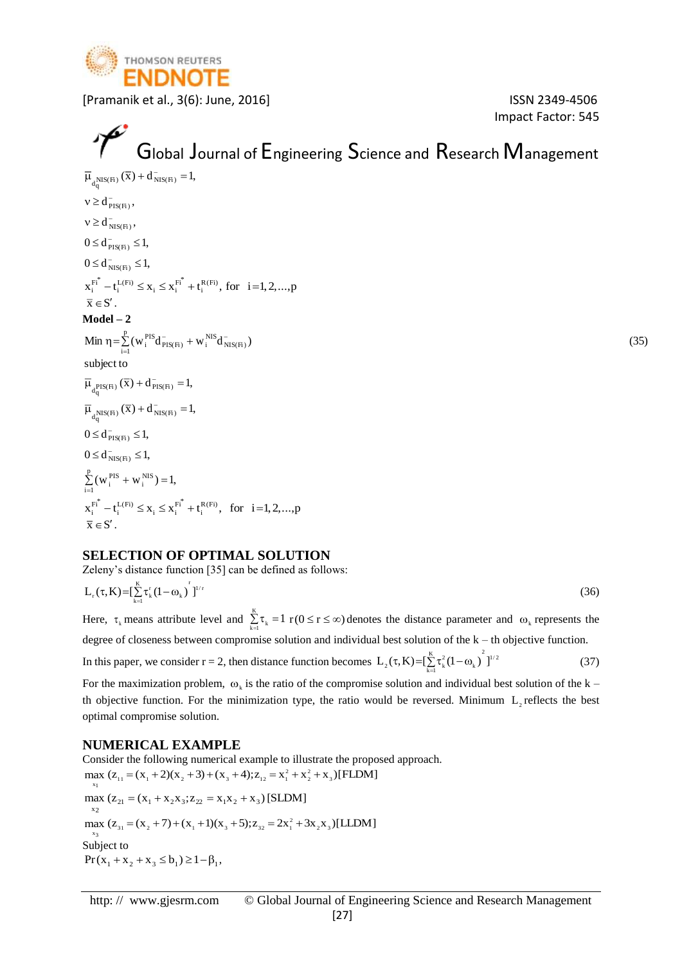

Impact Factor: 545

## $\mathcal{P}$ Global Journal of Engineering Science and Research Management

 $\overline{\mu}_{d^{\text{NIS}(\text{Fi})}_{q}}(\overline{x}) + d^{\text{-}}_{\text{NIS}(\text{Fi})} = 1,$  $0 \le d_{NIS(Fi)}^- \le 1$ ,  $0 \le d_{\text{PIS(Fi)}}^-\le 1$ ,  $v \ge d_{NIS(Fi)}^-,$  $v \ge d_{\text{PIS(Fi)}}^-,$  $x_i^{Fi} - t_i^{L(Fi)} \le x_i \le x_i^{Fi} + t_i^{R(Fi)}$ , for  $i = 1, 2, ..., p$  $\mathbf{X}_i^{\text{L(Fi)}} \leq \mathbf{X}_i \leq \mathbf{X}_i^{\text{Fi}^*}$  ${\sum_{i=1}^{F_i^*} - t_i^{L(F_i)} \leq x_i \leq x_i^{F_i^*} + t_i^{R(F_i)}$ , for  $i =$  $\overline{x} \in S'$ . **Model – 2**  $\text{Min } \eta = \sum_{i}^{\text{PIS}} (w_i^{\text{PIS}} d_{\text{PIS}(\text{H})}^{\text{NIS}} + w_i^{\text{NIS}} d_{\text{NIS}(\text{H})}^{\text{NIS}})$  (35) p  $\sum_{i=1}^{L} (W_i^{PIS} d_{PIS(F_i)}^- + W_i^{NIS} d_N^ \eta = \sum (W_i^{F13} d_{PIS(Fi)}^- +$  $\overline{\mu}_{d^{\rm PIS(Fi)}_{\rm q}}(\overline{x})+d^-_{\rm PIS(Fi)}=1,$ subject to  $\overline{\mu}_{d^{\text{NIS}}_q(\text{F}_1)}(\overline{x}) + d^-\_{text{NIS}(\text{F}_1)} = 1,$  $0 \le d_{NIS(Fi)}^- \le 1$ ,  $0 \le d_{\text{PIS(Fi)}}^{-} \le 1$ ,  $(w_i^{\text{PIS}} + w_i^{\text{NIS}}) = 1,$ p  $\sum_{i=1}^{k}$  (w<sub>i</sub><sup>PIS</sup> + w<sub>i</sub><sup>NIS</sup>) =  $x_i^{Fi} - t_i^{L(Fi)} \le x_i \le x_i^{Fi} + t_i^{R(Fi)}$ , for  $i=1,2,...,p$  $\mathbf{X}_i^{\text{L(Fi)}} \leq \mathbf{X}_i \leq \mathbf{X}_i^{\text{Fi}^*}$  ${\frac{\overline{F}_i^*}{\overline{F}_i}} - t_i^{L(F_i)} \leq x_i \leq x_i^{F_i^*} + t_i^{R(F_i)},$  for  $i =$  $\overline{\mathbf{x}} \in \mathbf{S}'$ 

#### **SELECTION OF OPTIMAL SOLUTION**

Zeleny's distance function [35] can be defined as follows:

$$
L_{r}(\tau,K) = \left[\sum_{k=1}^{K} \tau_{k}^{r} (1 - \omega_{k})^{r} \right]^{1/r}
$$
\n(36)

Here,  $\tau_k$  means attribute level and  $\sum_{k=1}^{k} \tau_k = 1$   $r(0 \le r \le \infty)$  denotes the distance parameter and  $\omega_k$  represents the  $k = 1$ degree of closeness between compromise solution and individual best solution of the k – th objective function. In this paper, we consider r = 2, then distance function becomes  $L_2(\tau,K) = \left[\sum_{k=1}^{K} \tau_k^2 (1-\omega_k)\right]^{1/2}$  $L_2(\tau, K) = [\sum_{k=1}^{K} \tau_k^2 (1 - \omega_k)]$ (37)

For the maximization problem,  $\omega_k$  is the ratio of the compromise solution and individual best solution of the k – th objective function. For the minimization type, the ratio would be reversed. Minimum  $L_2$  reflects the best optimal compromise solution.

#### **NUMERICAL EXAMPLE**

Consider the following numerical example to illustrate the proposed approach. max  $(z_{11} = (x_1 + 2)(x_2 + 3) + (x_3 + 4); z_{12} = x_1^2 + x_2^2 + x_3)[\text{FLDM}]$  $x_1$ max ( $z_{21} = (x_1 + x_2x_3; z_{22} = x_1x_2 + x_3)$  [SLDM] x2 max  $(z_{31} = (x_2 + 7) + (x_1 + 1)(x_3 + 5); z_{32} = 2x_1^2 + 3x_2x_3)[\text{LLDM}]$ x3 Subject to  $Pr(x_1 + x_2 + x_3 \le b_1) \ge 1 - \beta_1$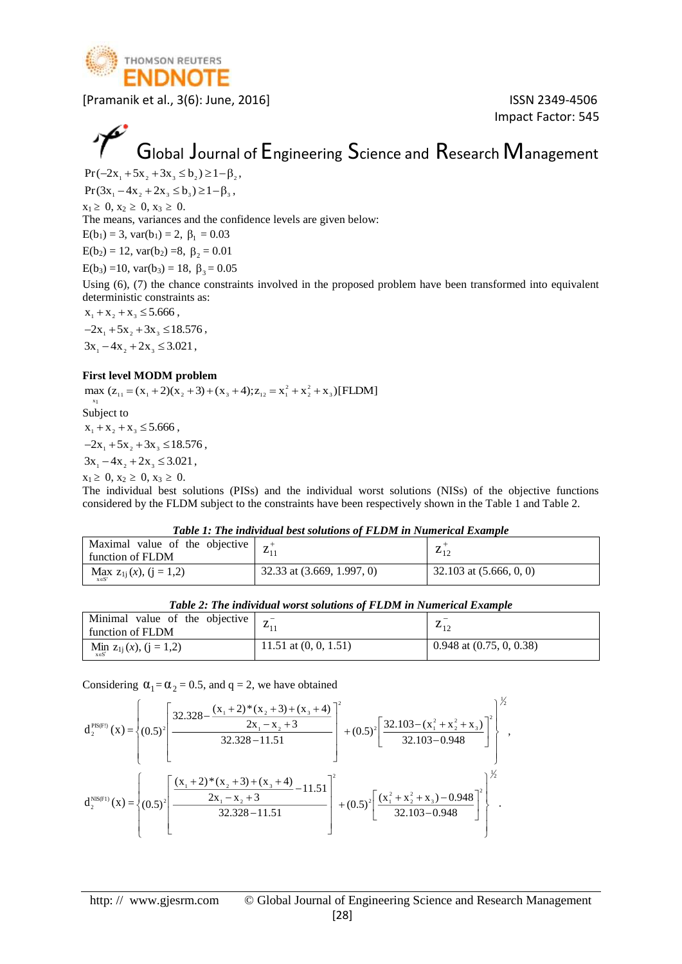

Impact Factor: 545

## Global Journal of Engineering Science and Research Management

 $Pr(-2x_1 + 5x_2 + 3x_3 \le b_2) \ge 1 - \beta_2$ 

 $Pr(3x_1 - 4x_2 + 2x_3 \le b_3) \ge 1 - \beta_3$ ,  $x_1 \geq 0, x_2 \geq 0, x_3 \geq 0.$ 

The means, variances and the confidence levels are given below:

 $E(b_1) = 3$ ,  $var(b_1) = 2$ ,  $\beta_1 = 0.03$ 

 $E(b_2) = 12$ , var(b<sub>2</sub>) =8,  $\beta_2 = 0.01$ 

 $E(b_3) = 10$ , var(b<sub>3</sub>) = 18,  $\beta_3 = 0.05$ 

Using (6), (7) the chance constraints involved in the proposed problem have been transformed into equivalent deterministic constraints as:

 $x_1 + x_2 + x_3 \leq 5.666$ ,

 $-2x_1 + 5x_2 + 3x_3 \le 18.576$ ,  $3x_1 - 4x_2 + 2x_3 \leq 3.021$ ,

#### **First level MODM problem**

max  $(z_{11} = (x_1 + 2)(x_2 + 3) + (x_3 + 4); z_{12} = x_1^2 + x_2^2 + x_3)[\text{FLDM}]$ x1

Subject to

 $x_1 + x_2 + x_3 \leq 5.666$ ,

 $-2x_1 + 5x_2 + 3x_3 \le 18.576$ ,

 $3x_1 - 4x_2 + 2x_3 \leq 3.021$ ,

 $x_1 \geq 0, x_2 \geq 0, x_3 \geq 0.$ 

The individual best solutions (PISs) and the individual worst solutions (NISs) of the objective functions considered by the FLDM subject to the constraints have been respectively shown in the Table 1 and Table 2.

|  |  |  |  | Table 1: The individual best solutions of FLDM in Numerical Example |  |
|--|--|--|--|---------------------------------------------------------------------|--|
|  |  |  |  |                                                                     |  |

| Maximal value of the objective<br>function of FLDM |                              | 412                       |
|----------------------------------------------------|------------------------------|---------------------------|
| Max $z_{1j}(x)$ , $(j = 1,2)$                      | 32.33 at $(3.669, 1.997, 0)$ | 32.103 at $(5.666, 0, 0)$ |

*Table 2: The individual worst solutions of FLDM in Numerical Example*

| Minimal value of the objective $\begin{bmatrix} 7 \end{bmatrix}$<br>function of FLDM |                         | 412                          |
|--------------------------------------------------------------------------------------|-------------------------|------------------------------|
| $\lim_{x \in S'} z_{1j}(x), (j = 1,2)$                                               | 11.51 at $(0, 0, 1.51)$ | $0.948$ at $(0.75, 0, 0.38)$ |

Considering  $\alpha_1 = \alpha_2 = 0.5$ , and  $q = 2$ , we have obtained

$$
d_2^{PIS(F!)}(x) = \left\{ (0.5)^2 \left[ \frac{32.328 - \frac{(x_1 + 2)^*(x_2 + 3) + (x_3 + 4)}{2x_1 - x_2 + 3}}{32.328 - 11.51} \right] + (0.5)^2 \left[ \frac{32.103 - (x_1^2 + x_2^2 + x_3)}{32.103 - 0.948} \right] \right\}^{3/2},
$$
  

$$
d_2^{NS(F!)}(x) = \left\{ (0.5)^2 \left[ \frac{(x_1 + 2)^*(x_2 + 3) + (x_3 + 4)}{2x_1 - x_2 + 3} - 11.51 \right] + (0.5)^2 \left[ \frac{(x_1^2 + x_2^2 + x_3) - 0.948}{32.103 - 0.948} \right]^2 \right\}^{3/2}.
$$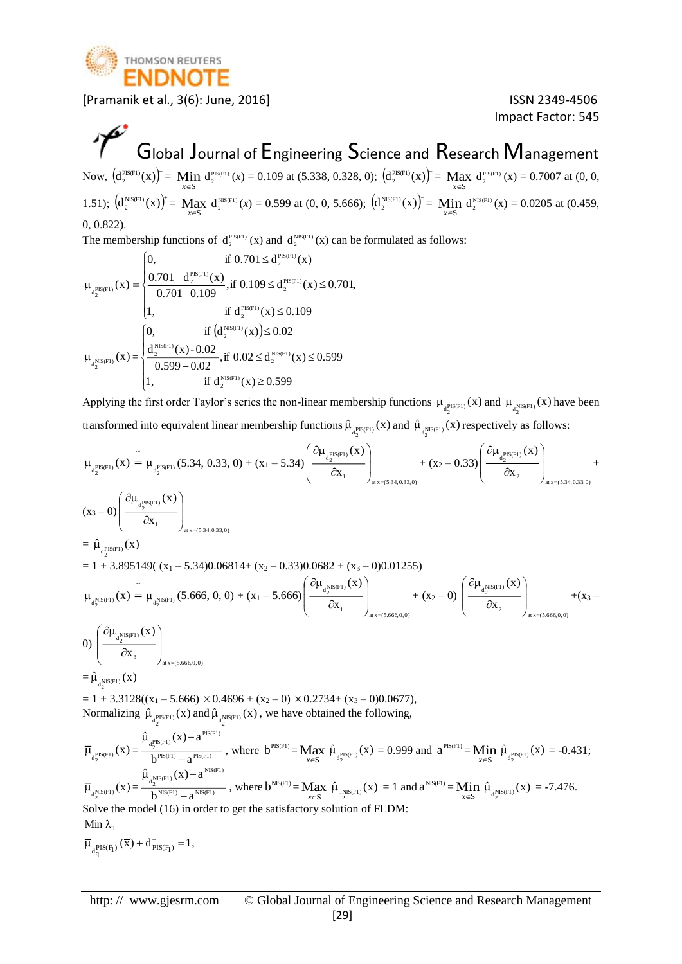

Impact Factor: 545

## $\mathcal{P}$ Global Journal of Engineering Science and Research Management

Now,  $(d_2^{\text{PIS(F1)}}(x))^{\dagger} =$  Min  $d_2^{\text{PIS(F1)}}(x) = 0.109$  at (5.338, 0.328, 0);  $(d_2^{\text{PIS(F1)}}(x))^{\dagger} =$  Max  $d_2^{\text{PIS(F1)}}(x) = 0.7007$  at (0, 0,  $x \in S$   $x \in S$ 1.51);  $(d_2^{\text{NIS(F1)}}(x))^{\dagger} = \text{Max}_{x \in S} d_2^{\text{NIS(F1)}}(x) = 0.599 \text{ at } (0, 0, 5.666);$   $(d_2^{\text{NIS(F1)}}(x))^{\dagger} = \text{Min}_{x \in S} d_2^{\text{NIS(F1)}}(x) = 0.0205 \text{ at } (0.459, 0.0205)$ 0, 0.822).

The membership functions of  $d_2^{\text{PIS}(F1)}(x)$  and  $d_2^{\text{NIS}(F1)}(x)$  can be formulated as follows:

$$
\mu_{_{d_2^{PIS(F1)}}}(x) = \begin{cases} 0, & \text{if } 0.701 \leq d_2^{^{PIS(F1)}}(x) \\ \dfrac{0.701 - d_2^{^{PIS(F1)}}(x)}{0.701 - 0.109}, \text{if } 0.109 \leq d_2^{^{PIS(F1)}}(x) \leq 0.701, \\ 1, & \text{if } d_2^{^{PIS(F1)}}(x) \leq 0.109 \\ \dfrac{d_2^{^{NIS(F1)}}(x) - 0.02}{0.599 - 0.02}, \text{if } 0.02 \leq d_2^{^{NIS(F1)}}(x) \leq 0.599 \\ 1, & \text{if } d_2^{^{NIS(F1)}}(x) \geq 0.599 \end{cases}
$$

Applying the first order Taylor's series the non-linear membership functions  $\mu_{d_2^{PIS(F1)}}(x)$  and  $\mu_{d_3^{NIS(F1)}}(x)$  have been transformed into equivalent linear membership functions  $\hat{\mu}_{d_2^{\text{PIS(F1)}}}(x)$  and  $\hat{\mu}_{d_2^{\text{NIS(F1)}}}(x)$  respectively as follows:

$$
\begin{split} &\mu_{d_2^{PIS(F1)}}(x) = \mu_{d_2^{PIS(F1)}}(5.34, 0.33, 0) + (x_1 - 5.34) \left( \frac{\partial \mu_{d_2^{PIS(F1)}}(x)}{\partial x_1} \right)_{a(x = (5.34, 0.33, 0)} + (x_2 - 0.33) \left( \frac{\partial \mu_{d_2^{PIS(F1)}}(x)}{\partial x_2} \right)_{a(x = (5.34, 0.33, 0)} + (x_2 - 0.33) \left( \frac{\partial \mu_{d_2^{PIS(F1)}}(x)}{\partial x_2} \right)_{a(x = (5.34, 0.33, 0)} + (x_2 - 0.33) \left( \frac{\partial \mu_{d_2^{PIS(F1)}}(x)}{\partial x_2} \right)_{a(x = (5.34, 0.33, 0)} + (x_2 - 0.33) \left( \frac{\partial \mu_{d_2^{SIS(F1)}}(x)}{\partial x_1} \right)_{a(x = (5.34, 0.33, 0)} + (x_2 - 0) \left( \frac{\partial \mu_{d_2^{NIS(F1)}}(x)}{\partial x_2} \right)_{a(x = (5.66, 0, 0)} + (x_3 - 0) \left( \frac{\partial \mu_{d_2^{NIS(F1)}}(x)}{\partial x_2} \right)_{a(x = (5.66, 0, 0)} + (x_3 - 0) \left( \frac{\partial \mu_{d_2^{NIS(F1)}}(x)}{\partial x_2} \right)_{a(x = (5.66, 0, 0)} + (x_3 - 0) \left( \frac{\partial \mu_{d_2^{NIS(F1)}}(x)}{\partial x_2} \right)_{a(x = (5.66, 0, 0)} + (x_3 - 0) \left( \frac{\partial \mu_{d_2^{NIS(F1)}}(x)}{\partial x_2} \right)_{a(x = (5.66, 0, 0)} + (x_3 - 0) \left( \frac{\partial \mu_{d_2^{NIS(F1)}}(x)}{\partial x_2} \right)_{a(x = (5.66, 0, 0)} + (x_3 - 0) \left( \frac{\partial \mu_{d_2^{NIS(F1)}}(x)}{\partial x_2} \right)_{a(x = (5.66, 0, 0)} + (x_3 - 0)
$$

Normalizing  $\hat{\mu}_{\text{q}^{\text{PIS(F1)}}}(x)$  and  $\hat{\mu}_{\text{q}^{\text{NIS(F1)}}}(x)$ , we have obtained the following,

2 2

 $\overline{\mu}_{d_2^{PIS(F1)}}(x) = \frac{q_2}{b^{PIS(F1)} - a^{PIS(F1)}}$  $a_2^{\text{PIS(F1)}}(x) - a^{\text{PIS(F1)}}$  $b^{\text{PIS(F1)}}-a$  $\hat{\mu}_{\text{prs}}(x)$  - a Ξ.  $\mu_{_{\rm -PIS(F1)}}({\rm x})-$ , where  $b^{PIS(F1)} = Max_{x \in S}$  $\hat{\mu}_{a_2^{PIS(F1)}}(x) = 0.999$  and  $a^{PIS(F1)} = \underset{x \in S}{\text{Min}} \hat{\mu}_{a_2^{PIS(F1)}}(x) = -0.431$ ;  $\overline{\mu}_{d_2^{NIS(F1)}}(x) = \frac{a_2}{b^{NIS(F1)} - a^{NIS(F1)}}$  $\frac{1}{\log_2(N)}$   $\left( x \right)$   $a^{NIS(F1)}$  $b^{NIS(F1)} - a$  $\hat{\mu}_{N(\text{s})\in\text{D}}(x)$  - a —  $\mu_{\text{NIS(F1)}}(X)$  – , where  $b^{\text{NIS(F1)}} = \underset{x \in S}{\text{Max}}$  $\hat{\mu}_{d_2^{NIS(F1)}}(x) = 1$  and  $a^{NIS(F1)} = Min$ <br> $x \in S$  $\hat{\mu}_{d_2^{NIS(F1)}}(x) = -7.476.$ Solve the model (16) in order to get the satisfactory solution of FLDM:  $\overline{\mu}_{d^{\text{PIS}(F_1)}_{q}}(\overline{x}) + d^{\text{-}}_{\text{PIS}(F_1)} = 1,$ Min  $\lambda_1$ 

http: // www.gjesrm.com © Global Journal of Engineering Science and Research Management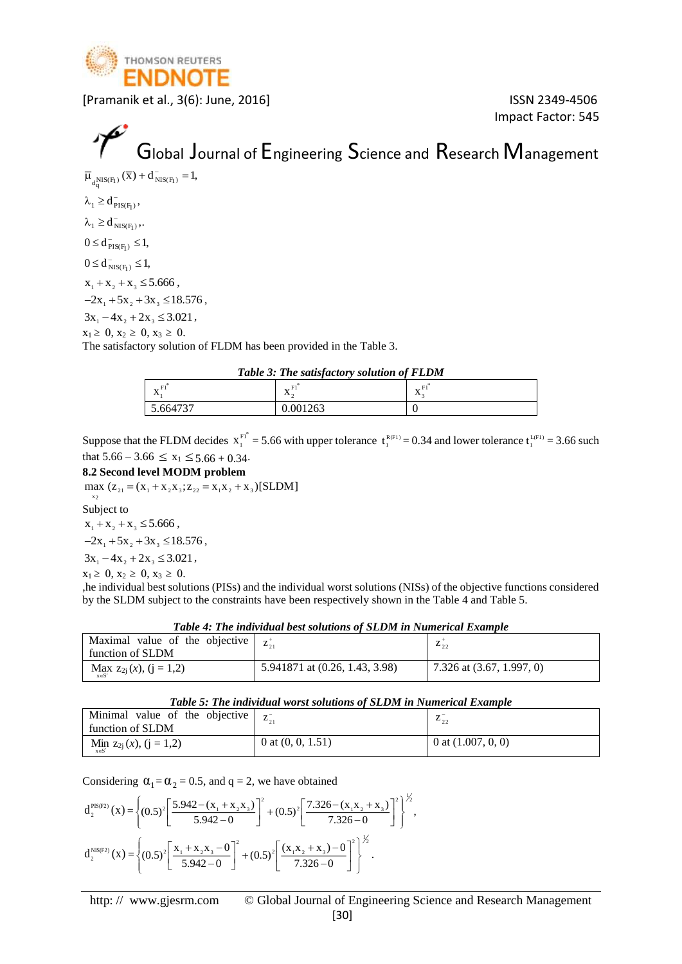

Impact Factor: 545

# Global Journal of Engineering Science and Research Management

 $\overline{\mu}_{d^{\text{NIS}(F_1)}}(\overline{x}) + d^{\text{-}}_{\text{NIS}(F_1)} = 1,$ 

 $\lambda_1 \geq d_{\text{PIS}(F_1)}^-,$ 

 $\lambda_1 \geq d_{NIS(F_1)}^-,$ 

 $0 \le d_{\text{PIS(F1)}}^{-} \le 1$ ,

 $0 \le d_{NIS(F_1)}^- \le 1,$ 

 $x_1 + x_2 + x_3 \leq 5.666$ ,

 $-2x_1 + 5x_2 + 3x_3 \le 18.576$ ,

 $3x_1 - 4x_2 + 2x_3 \leq 3.021$ ,

 $x_1 \geq 0, x_2 \geq 0, x_3 \geq 0.$ 

The satisfactory solution of FLDM has been provided in the Table 3.

*Table 3: The satisfactory solution of FLDM*

| <b>A</b><br>---<br>$-11$<br>$\mathbf{A}$ | -<br>--<br>. .<br>$\mathbf{A}$ | *<br>$\sim$<br>$\mathbf{v}$<br>$\mathbf{A}$ |
|------------------------------------------|--------------------------------|---------------------------------------------|
| 1727<br>$\epsilon$                       | 1000                           |                                             |

Suppose that the FLDM decides  $x_1^{F_1^*} = 5.66$  with upper tolerance  $t_1^{R(F_1)} = 0.34$  and lower tolerance  $t_1^{L(F_1)} = 3.66$  such that  $5.66 - 3.66 \le x_1 \le 5.66 + 0.34$ .

#### **8.2 Second level MODM problem**

max  $(z_{21} = (x_1 + x_2x_3; z_{22} = x_1x_2 + x_3)[SLDM]$ 

 $x_2$ Subject to

 $x_1 + x_2 + x_3 \leq 5.666$ ,

 $-2x_1 + 5x_2 + 3x_3 \le 18.576$ ,

 $3x_1 - 4x_2 + 2x_3 \leq 3.021$ ,

 $x_1 \geq 0, x_2 \geq 0, x_3 \geq 0.$ 

,he individual best solutions (PISs) and the individual worst solutions (NISs) of the objective functions considered by the SLDM subject to the constraints have been respectively shown in the Table 4 and Table 5.

*Table 4: The individual best solutions of SLDM in Numerical Example*

| Maximal value of the objective $\begin{bmatrix} z_{21}^+ & z_{22}^- \end{bmatrix}$<br>function of SLDM |                                | $\sim$ 22                   |  |
|--------------------------------------------------------------------------------------------------------|--------------------------------|-----------------------------|--|
| Max $z_{2j}(x)$ , $(j = 1,2)$                                                                          | 5.941871 at (0.26, 1.43, 3.98) | 7.326 at $(3.67, 1.997, 0)$ |  |

|  |  | Table 5: The individual worst solutions of SLDM in Numerical Example |  |  |
|--|--|----------------------------------------------------------------------|--|--|
|--|--|----------------------------------------------------------------------|--|--|

| Minimal value of the objective<br>function of SLDM | $L_{21}$            | 4,2                  |
|----------------------------------------------------|---------------------|----------------------|
| $\lim_{x \in S'} z_{2j}(x), (j = 1,2)$             | 0 at $(0, 0, 1.51)$ | 0 at $(1.007, 0, 0)$ |

Considering  $\alpha_1 = \alpha_2 = 0.5$ , and  $q = 2$ , we have obtained

$$
d_2^{\text{PIS(F2)}}(x) = \left\{ (0.5)^2 \left[ \frac{5.942 - (x_1 + x_2 x_3)}{5.942 - 0} \right]^2 + (0.5)^2 \left[ \frac{7.326 - (x_1 x_2 + x_3)}{7.326 - 0} \right]^2 \right\}^{\frac{1}{2}},
$$
  

$$
d_2^{\text{NIS(F2)}}(x) = \left\{ (0.5)^2 \left[ \frac{x_1 + x_2 x_3 - 0}{5.942 - 0} \right]^2 + (0.5)^2 \left[ \frac{(x_1 x_2 + x_3) - 0}{7.326 - 0} \right]^2 \right\}^{\frac{1}{2}}.
$$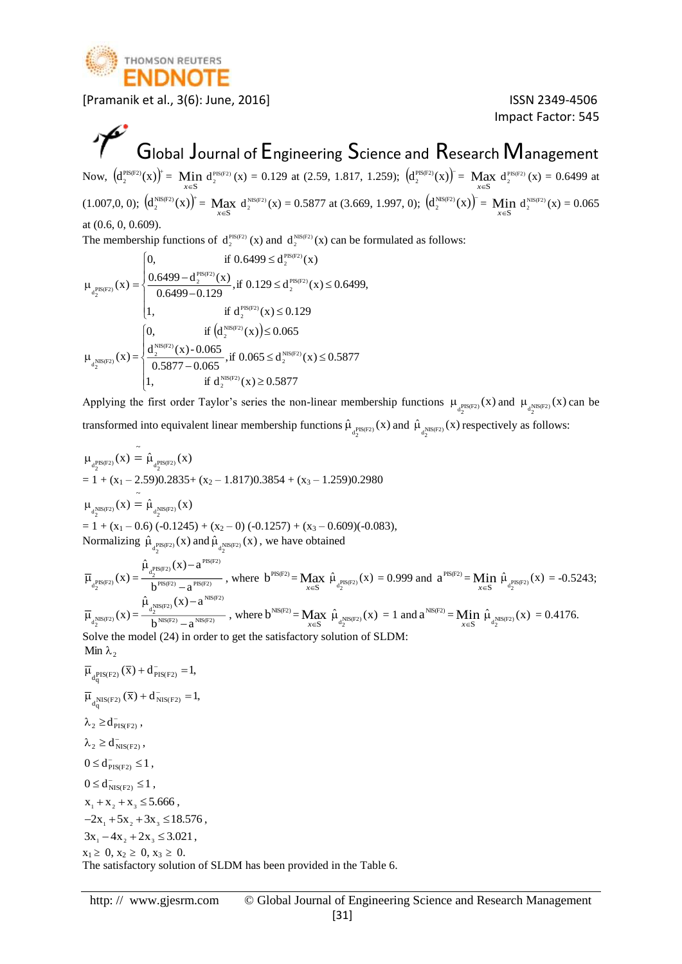

Impact Factor: 545

### $\mathcal{P}$ Global Journal of Engineering Science and Research Management

Now,  $(d_2^{\text{PIS(P2)}}(x))^{\dagger} =$  Min  $d_2^{\text{PIS(P2)}}(x) = 0.129$  at (2.59, 1.817, 1.259);  $(d_2^{\text{PIS(P2)}}(x))^{\dagger} =$  Max  $d_2^{\text{PIS(P2)}}(x) = 0.6499$  at  $(1.007,0, 0);$   $(d_2^{\text{NIS(F2)}}(x))^{\dagger} = \text{Max}_{x \in S} d_2^{\text{NIS(F2)}}(x) = 0.5877 \text{ at } (3.669, 1.997, 0);$   $(d_2^{\text{NIS(F2)}}(x))^{\dagger} = \text{Min}_{x \in S} d_2^{\text{NIS(F2)}}(x) = 0.065$ at (0.6, 0, 0.609).

The membership functions of  $d_2^{\text{PIS}(F2)}(x)$  and  $d_2^{\text{NIS}(F2)}(x)$  can be formulated as follows:

$$
\mu_{_{d_2^{PIS\left( {F2} \right)}}}(x) = \begin{cases} 0, & \text{if } 0.6499 \leq d_2^{\text{PIS\left( {F2} \right)}}(x) \\ \dfrac{0.6499 - d_2^{\text{PIS\left( {F2} \right)}}(x)}{0.6499 - 0.129}, \text{if } 0.129 \leq d_2^{\text{PIS\left( {F2} \right)}}(x) \leq 0.6499, \\ 1, & \text{if } d_2^{\text{PIS\left( {F2} \right)}}(x) \leq 0.129 \\ \dfrac{d_2^{\text{NIS\left( {F2} \right)}}(x) - 0.065}{0.5877 - 0.065}, \text{if } 0.065 \leq d_2^{\text{NIS\left( {F2} \right)}}(x) \leq 0.5877 \\ 1, & \text{if } d_2^{\text{NIS\left( {F2} \right)}}(x) \geq 0.5877 \end{cases}
$$

Applying the first order Taylor's series the non-linear membership functions  $\mu_{d_2^{\text{PIS(F2)}}}(x)$  and  $\mu_{d_2^{\text{NIS(F2)}}}(x)$  can be transformed into equivalent linear membership functions  $\hat{\mu}_{d_2^{\text{PIS(P2)}}}(x)$  and  $\hat{\mu}_{d_2^{\text{NIS(P2)}}}(x)$  respectively as follows:

$$
\mu_{d_{\text{P}}^{\text{PIS(F2)}}}(x) = \hat{\mu}_{d_{\text{P}}^{\text{PIS(F2)}}}(x)
$$
\n
$$
= 1 + (x_1 - 2.59)0.2835 + (x_2 - 1.817)0.3854 + (x_3 - 1.259)0.2980
$$
\n
$$
\mu_{d_{\text{P}}^{\text{NIS(F2)}}}(x) = \hat{\mu}_{d_{\text{P}}^{\text{NIS(F2)}}}(x)
$$
\n
$$
= 1 + (x_1 - 0.6) (-0.1245) + (x_2 - 0) (-0.1257) + (x_3 - 0.609)(-0.083),
$$
\nNormalizing  $\hat{\mu}_{d_{\text{P}}^{\text{PIS(F2)}}}(x)$  and  $\hat{\mu}_{d_{\text{P}}^{\text{NIS(F2)}}}(x)$ , we have obtained\n
$$
\hat{\mu}_{d_{\text{P}}^{\text{PIS(F2)}}}(x) - a^{\text{PIS(F2)}}
$$

$$
\overline{\mu}_{\mathbf{d}_{2}^{PIS(F2)}}(x) = \frac{\hat{\mu}_{\mathbf{d}_{2}^{PIS(F2)}}(x) - a^{PIS(F2)}}{b^{PIS(F2)}} - a^{PIS(F2)}} \text{ , where } b^{PIS(F2)} = \underset{x \in S}{\text{Max }} \hat{\mu}_{\mathbf{d}_{2}^{PIS(F2)}}(x) = 0.999 \text{ and } a^{PIS(F2)} = \underset{x \in S}{\text{Min }} \hat{\mu}_{\mathbf{d}_{2}^{PIS(F2)}}(x) = -0.5243;
$$
\n
$$
\overline{\mu}_{\mathbf{d}_{2}^{NIS(F2)}}(x) = \frac{\hat{\mu}_{\mathbf{d}_{2}^{NIS(F2)}}(x) - a^{NIS(F2)}}{b^{NIS(F2)}} - a^{NIS(F2)}} \text{ , where } b^{NIS(F2)} = \underset{x \in S}{\text{Max }} \hat{\mu}_{\mathbf{d}_{2}^{NIS(F2)}}(x) = 1 \text{ and } a^{NIS(F2)} = \underset{x \in S}{\text{Min }} \hat{\mu}_{\mathbf{d}_{2}^{NIS(F2)}}(x) = 0.4176.
$$
\nSolve the model (24) in order to get the satisfactory solution of SLDM:

Min  $\lambda_2$ 

 $\overline{\mu}_{d^{\text{PIS}(F2)}}(\overline{x}) + d^{\text{-}}_{\text{PIS}(F2)} = 1,$  $\overline{\mu}_{d^{\text{NIS(F2)}}_{\alpha}}(\overline{x}) + d^{\text{-}}_{\text{NIS(F2)}} = 1,$ q  $\lambda_2 \ge d_{\text{PIS(F2)}}^-,$  $\lambda_2 \geq d_{NIS(F2)}^-,$  $0 \le d_{PIS(F2)}^- \le 1$ ,  $0 \le d_{NIS(F2)}^- \le 1$ ,  $x_1 + x_2 + x_3 \leq 5.666$ ,  $-2x_1 + 5x_2 + 3x_3 \le 18.576$ ,  $3x_1 - 4x_2 + 2x_3 \leq 3.021$ ,  $x_1 \geq 0, x_2 \geq 0, x_3 \geq 0.$ The satisfactory solution of SLDM has been provided in the Table 6.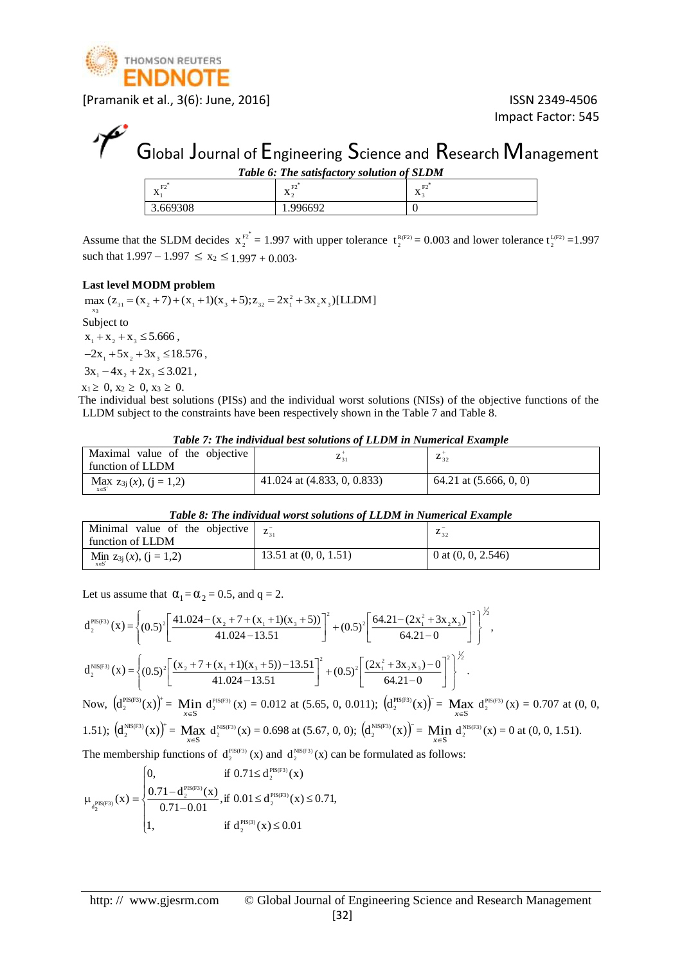

Impact Factor: 545

# Global Journal of Engineering Science and Research Management

| Table 6: The satisfactory solution of SLDM |             |  |  |  |
|--------------------------------------------|-------------|--|--|--|
| л                                          | $\Lambda$ . |  |  |  |
| 3.669308                                   | .996692     |  |  |  |

Assume that the SLDM decides  $x_2^{F_2^*} = 1.997$  with upper tolerance  $t_2^{R(F_2)} = 0.003$  and lower tolerance  $t_2^{L(F_2)} = 1.997$ such that  $1.997 - 1.997 \le x_2 \le 1.997 + 0.003$ 

#### **Last level MODM problem**

max  $(z_{31} = (x_2 + 7) + (x_1 + 1)(x_3 + 5); z_{32} = 2x_1^2 + 3x_2x_3)[\text{LLDM}]$ x3 Subject to  $x_1 + x_2 + x_3 \leq 5.666$ ,  $-2x_1 + 5x_2 + 3x_3 \le 18.576$ ,  $3x_1 - 4x_2 + 2x_3 \leq 3.021$ ,

 $x_1 \geq 0, x_2 \geq 0, x_3 \geq 0.$ 

 The individual best solutions (PISs) and the individual worst solutions (NISs) of the objective functions of the LLDM subject to the constraints have been respectively shown in the Table 7 and Table 8.

| Table 7: The individual best solutions of LLDM in Numerical Example |  |
|---------------------------------------------------------------------|--|
|---------------------------------------------------------------------|--|

| Maximal value of the objective               | $L_{21}$                      | 432                      |
|----------------------------------------------|-------------------------------|--------------------------|
| function of LLDM                             |                               |                          |
| $\text{Max}_{x \in S'} z_{3j}(x), (j = 1,2)$ | 41.024 at $(4.833, 0, 0.833)$ | 64.21 at $(5.666, 0, 0)$ |

#### *Table 8: The individual worst solutions of LLDM in Numerical Example*

| Minimal value of the objective $\begin{bmatrix} z_{31}^{\text{-}} & z_{32}^{\text{-}} \end{bmatrix}$<br>function of LLDM |                         | 432                  |
|--------------------------------------------------------------------------------------------------------------------------|-------------------------|----------------------|
| $\lim_{x \in S'} z_{3j}(x), (j = 1,2)$                                                                                   | 13.51 at $(0, 0, 1.51)$ | 0 at $(0, 0, 2.546)$ |

Let us assume that  $\alpha_1 = \alpha_2 = 0.5$ , and  $q = 2$ .

$$
d_2^{\text{PIS(F3)}}(x) = \left\{ (0.5)^2 \left[ \frac{41.024 - (x_2 + 7 + (x_1 + 1)(x_3 + 5))}{41.024 - 13.51} \right]^2 + (0.5)^2 \left[ \frac{64.21 - (2x_1^2 + 3x_2x_3)}{64.21 - 0} \right]^2 \right\}^{\frac{1}{2}},
$$
  
\n
$$
d_2^{\text{NIS(F3)}}(x) = \left\{ (0.5)^2 \left[ \frac{(x_2 + 7 + (x_1 + 1)(x_3 + 5)) - 13.51}{41.024 - 13.51} \right]^2 + (0.5)^2 \left[ \frac{(2x_1^2 + 3x_2x_3) - 0}{64.21 - 0} \right]^2 \right\}^{\frac{1}{2}}.
$$
  
\nNow, 
$$
\left( d_2^{\text{PIS(F3)}}(x) \right)^+ = \text{Min } d_2^{\text{PIS(F3)}}(x) = 0.012 \text{ at } (5.65, 0, 0.011); \left( d_2^{\text{PIS(F3)}}(x) \right)^= \text{Max } d_2^{\text{PIS(F3)}}(x) = 0.707 \text{ at } (0, 0, 0, 0, 0, 0, 0)
$$

1.51); 
$$
(d_2^{\text{NIS(F3)}}(x))^{\dagger} = \underset{x \in S}{\text{Max}} d_2^{\text{NIS(F3)}}(x) = 0.698 \text{ at } (5.67, 0, 0);
$$
  $(d_2^{\text{NIS(F3)}}(x))^{\dagger} = \underset{x \in S}{\text{Min}} d_2^{\text{NIS(F3)}}(x) = 0 \text{ at } (0, 0, 1.51).$ 

The membership functions of  $d_2^{PIS(F3)}(x)$  and  $d_2^{NIS(F3)}(x)$  can be formulated as follows:

$$
\mu_{d_2^{PIS(F3)}}(x) = \begin{cases} 0, & \text{if } 0.71 \le d_2^{PIS(F3)}(x) \\ \frac{0.71 - d_2^{PIS(F3)}(x)}{0.71 - 0.01}, & \text{if } 0.01 \le d_2^{PIS(F3)}(x) \le 0.71, \\ 1, & \text{if } d_2^{PIS(3)}(x) \le 0.01 \end{cases}
$$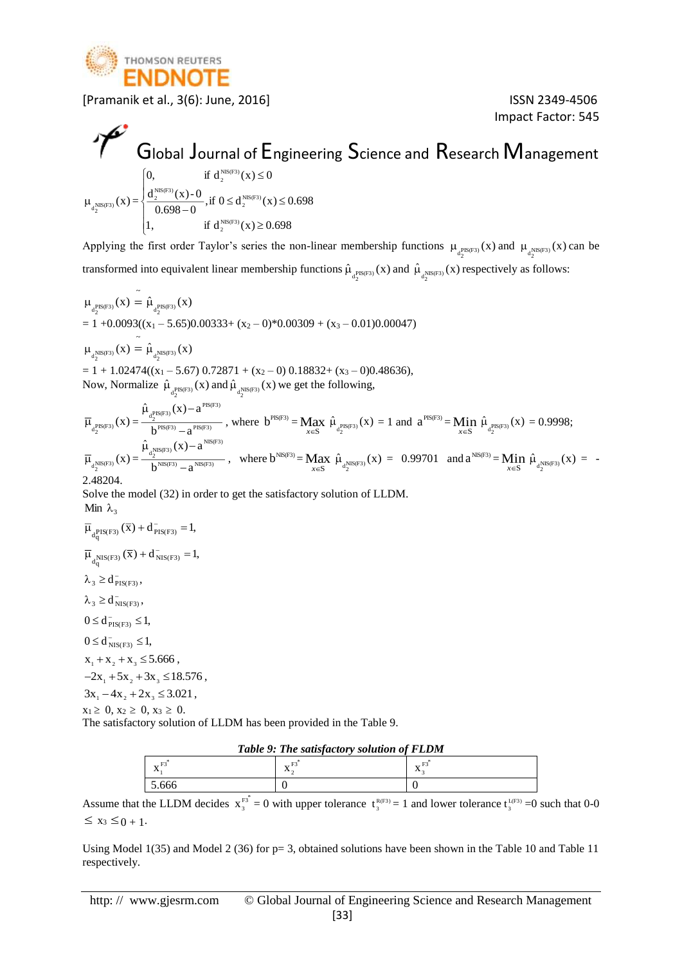

Impact Factor: 545

## Global Journal of Engineering Science and Research Management  $\sqrt{2}$

$$
\mu_{d_2^{\text{NIS(F3)}}}(x) = \begin{cases}\n0, & \text{if } d_2^{\text{NIS(F3)}}(x) \le 0 \\
\frac{d_2^{\text{NIS(F3)}}(x) - 0}{0.698 - 0}, & \text{if } 0 \le d_2^{\text{NIS(F3)}}(x) \le 0.698 \\
1, & \text{if } d_2^{\text{NIS(F3)}}(x) \ge 0.698\n\end{cases}
$$

Applying the first order Taylor's series the non-linear membership functions  $\mu_{d_2^{\text{PIS(F3)}}}(x)$  and  $\mu_{d_2^{\text{NIS(F3)}}}(x)$  can be transformed into equivalent linear membership functions  $\hat{\mu}_{d_2^{\text{PIS(F3)}}}(x)$  and  $\hat{\mu}_{d_2^{\text{NIS(F3)}}}(x)$  respectively as follows:

 $\mu_{d_2^{PIS(F3)}}(x) = \hat{\mu}_{d_2^{PIS(F3)}}(x)$  $= 1 + 0.0093((x_1 - 5.65)0.00333 + (x_2 - 0)*0.00309 + (x_3 - 0.01)0.00047)$  $\mu_{d^{\text{NIS(F3)}}_{\alpha}}(x) = \hat{\mu}_{d^{\text{NIS(F3)}}_{\alpha}}(x)$ 2 2  $= 1 + 1.02474((x_1 - 5.67) 0.72871 + (x_2 - 0) 0.18832 + (x_3 - 0)0.48636),$ Now, Normalize  $\hat{\mu}_{\text{d}^{\text{PIS(F3)}}}(x)$  and  $\hat{\mu}_{\text{d}^{\text{NIS(F3)}}}(x)$  we get the following, 2 2

 $\overline{\mu}_{d_2^{PIS(F3)}}(x) = \frac{q_2}{h^{PIS(F3)} - a^{PIS(F3)}}$  $a_2^{PIS(F3)}(x) - a^{PIS(F3)}$  $b^{\text{PLS}(F3)} - a$  $\hat{\mu}_{\text{prs}(F3)}(x)$  - a  $\mu_{_{\rm -PIS(F3)}}({\rm x})-$ , where  $b^{PIS(F3)} = Max_{x \in S}$  $\hat{\mu}_{a_2^{\text{PIS(F3)}}}(x) = 1$  and  $a^{\text{PIS(F3)}} = \text{Min}_{x \in S}$  $\hat{\mu}_{\text{q}^{\text{PIS(F3)}}_{2}}(\text{x}) = 0.9998;$  $\overline{\mu}_{d_2^{NIS(F3)}}(x) = \frac{a_2}{b^{NIS(F3)} - a^{NIS(F3)}}$  $\lim_{d_1 \to 0}$  (X) – a<sup>NIS(F3)</sup>  $\frac{h^2}{b^{NIS(F3)}-a^{NIS(F3)}}$ , where  $b^{NIS(F3)} = \text{Max}_{x \in S} \hat{\mu}_{d_2^{NIS(F3)}}(x) = 0.99701$  and  $a^{NIS(F3)} = \text{Min}_{x \in S} \hat{\mu}_{d_2^{NIS(F3)}}(x) = -a^{NIS(F3)}$  $\hat{\mu}_{d,\text{NS}(F3)}(x) - a^{\text{NS}(F3)}$  and  $a \in \text{NS}(F3)$  and  $a \in \text{NS}(F3)$  and  $a \in \text{NS}(F3)$  and  $a \in \text{NS}(F3)$  and  $a \in \text{NS}(F3)$  and  $a \in \text{NS}(F3)$ 2.48204.

Solve the model (32) in order to get the satisfactory solution of LLDM. Min  $\lambda_3$ 

- $\overline{\mu}_{d^{\text{PIS(F3)}}_{q}}(\overline{x}) + d^{\text{-}}_{\text{PIS(F3)}} = 1,$
- $\overline{\mu}_{d^{\text{NIS(F3)}}_{\text{q}}}(\overline{x}) + d^{\text{-}}_{\text{NIS(F3)}} = 1,$

$$
\lambda_3 \geq d_{PIS(F3)}^-,
$$

 $\lambda_3 \geq d_{NIS(F3)}^-,$ 

 $0 \le d_{\text{PIS(F3)}}^{-} \le 1,$ 

 $0 \le d_{NIS(F3)}^{-} \le 1,$ 

 $x_1 + x_2 + x_3 \leq 5.666$ ,

 $-2x_1 + 5x_2 + 3x_3 \le 18.576$ ,  $3x_1 - 4x_2 + 2x_3 \leq 3.021$ ,

 $x_1 \geq 0, x_2 \geq 0, x_3 \geq 0.$ 

The satisfactory solution of LLDM has been provided in the Table 9.

|  | Table 9: The satisfactory solution of FLDM |  |
|--|--------------------------------------------|--|
|  |                                            |  |

| $\lambda$ | <br>$\lambda$ | ---<br>--<br>$\lambda$ |
|-----------|---------------|------------------------|
| $\sim$    |               |                        |

Assume that the LLDM decides  $x_3^{F_3^*} = 0$  with upper tolerance  $t_3^{R(F_3)} = 1$  and lower tolerance  $t_3^{L(F_3)} = 0$  such that 0-0  $\leq x_3 \leq 0 + 1$ .

Using Model 1(35) and Model 2 (36) for  $p=3$ , obtained solutions have been shown in the Table 10 and Table 11 respectively.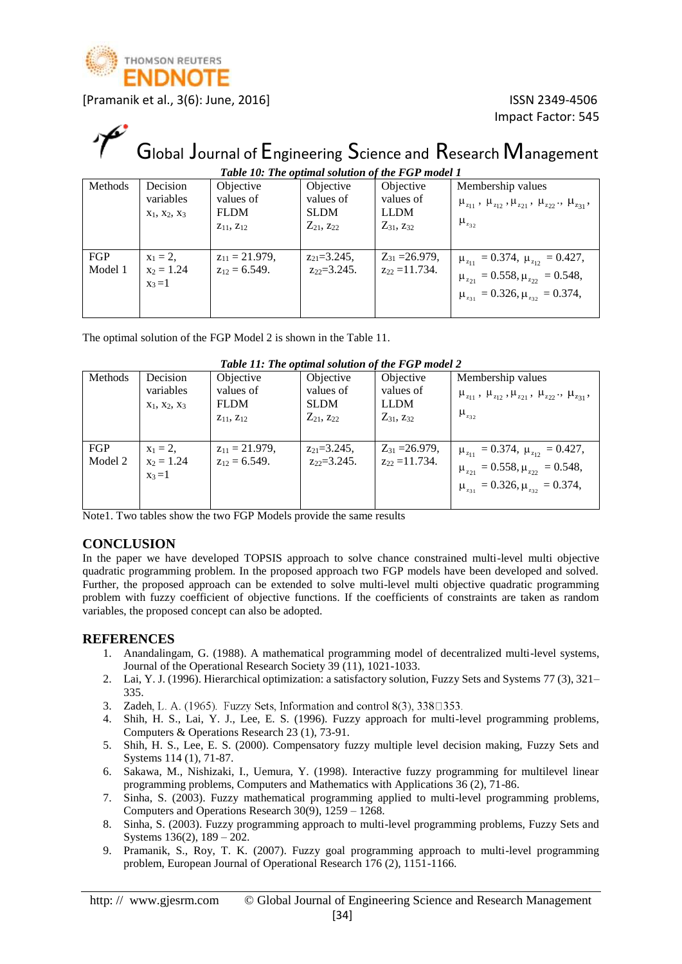

# Global Journal of Engineering Science and Research Management

| Table 10: The optimal solution of the FGP model 1 |                 |                     |                     |                     |                                                                                       |  |  |  |
|---------------------------------------------------|-----------------|---------------------|---------------------|---------------------|---------------------------------------------------------------------------------------|--|--|--|
| Methods                                           | Decision        | Objective           | Objective           | Objective           | Membership values                                                                     |  |  |  |
|                                                   | variables       | values of           | values of           | values of           | $\mu_{z_{11}}$ , $\mu_{z_{12}}$ , $\mu_{z_{21}}$ , $\mu_{z_{22}}$ ., $\mu_{z_{31}}$ , |  |  |  |
|                                                   | $X_1, X_2, X_3$ | <b>FLDM</b>         | <b>SLDM</b>         | <b>LLDM</b>         |                                                                                       |  |  |  |
|                                                   |                 | $Z_{11}$ , $Z_{12}$ | $Z_{21}$ , $Z_{22}$ | $Z_{31}$ , $Z_{32}$ | $\mu_{232}$                                                                           |  |  |  |
|                                                   |                 |                     |                     |                     |                                                                                       |  |  |  |
| FGP                                               | $x_1 = 2$ ,     | $z_{11} = 21.979$ , | $z_{21} = 3.245$ ,  | $Z_{31} = 26.979$ , | $\mu_{z_{11}} = 0.374, \ \mu_{z_{12}} = 0.427,$                                       |  |  |  |
| Model 1                                           | $x_2 = 1.24$    | $z_{12} = 6.549.$   | $z_{22}=3.245$ .    | $z_{22} = 11.734$ . | $\mu_{z_{21}} = 0.558, \mu_{z_{22}} = 0.548,$                                         |  |  |  |
|                                                   | $x_3=1$         |                     |                     |                     |                                                                                       |  |  |  |
|                                                   |                 |                     |                     |                     | $\mu_{z_{31}} = 0.326, \mu_{z_{32}} = 0.374,$                                         |  |  |  |
|                                                   |                 |                     |                     |                     |                                                                                       |  |  |  |

The optimal solution of the FGP Model 2 is shown in the Table 11.

| Table 11: The obtimal solution of the FGF model 2 |                 |                     |                     |                     |                                                                                       |  |  |
|---------------------------------------------------|-----------------|---------------------|---------------------|---------------------|---------------------------------------------------------------------------------------|--|--|
| <b>Methods</b>                                    | Decision        | Objective           | Objective           | Objective           | Membership values                                                                     |  |  |
|                                                   | variables       | values of           | values of           | values of           | $\mu_{z_{11}}$ , $\mu_{z_{12}}$ , $\mu_{z_{21}}$ , $\mu_{z_{22}}$ ., $\mu_{z_{31}}$ , |  |  |
|                                                   | $X_1, X_2, X_3$ | <b>FLDM</b>         | <b>SLDM</b>         | <b>LLDM</b>         |                                                                                       |  |  |
|                                                   |                 | $Z_{11}$ , $Z_{12}$ | $Z_{21}$ , $Z_{22}$ | $Z_{31}$ , $Z_{32}$ | $\mu_{z_{32}}$                                                                        |  |  |
|                                                   |                 |                     |                     |                     |                                                                                       |  |  |
| FGP                                               | $x_1 = 2$ ,     | $z_{11} = 21.979$ , | $z_{21} = 3.245$ ,  | $Z_{31} = 26.979$ , | $\mu_{z_{11}} = 0.374, \ \mu_{z_{12}} = 0.427,$                                       |  |  |
| Model 2                                           | $x_2 = 1.24$    | $z_{12} = 6.549$ .  | $z_{22}=3.245.$     | $z_{22} = 11.734$ . | $\mu_{z_{21}} = 0.558, \mu_{z_{22}} = 0.548,$                                         |  |  |
|                                                   | $x_3=1$         |                     |                     |                     |                                                                                       |  |  |
|                                                   |                 |                     |                     |                     | $\mu_{z_{31}} = 0.326, \mu_{z_{32}} = 0.374,$                                         |  |  |
|                                                   |                 |                     |                     |                     |                                                                                       |  |  |

#### *Table 11: The optimal solution of the FGP model 2*

Note1. Two tables show the two FGP Models provide the same results

#### **CONCLUSION**

In the paper we have developed TOPSIS approach to solve chance constrained multi-level multi objective quadratic programming problem. In the proposed approach two FGP models have been developed and solved. Further, the proposed approach can be extended to solve multi-level multi objective quadratic programming problem with fuzzy coefficient of objective functions. If the coefficients of constraints are taken as random variables, the proposed concept can also be adopted.

#### **REFERENCES**

- 1. Anandalingam, G. (1988). A mathematical programming model of decentralized multi-level systems, Journal of the Operational Research Society 39 (11), 1021-1033.
- 2. Lai, Y. J. (1996). Hierarchical optimization: a satisfactory solution, Fuzzy Sets and Systems 77 (3), 321– 335.
- 3. Zadeh, L. A. (1965). Fuzzy Sets, Information and control  $8(3)$ ,  $338\square 353$ .
- 4. Shih, H. S., Lai, Y. J., Lee, E. S. (1996). Fuzzy approach for multi-level programming problems, Computers & Operations Research 23 (1), 73-91.
- 5. Shih, H. S., Lee, E. S. (2000). Compensatory fuzzy multiple level decision making, Fuzzy Sets and Systems 114 (1), 71-87.
- 6. Sakawa, M., Nishizaki, I., Uemura, Y. (1998). Interactive fuzzy programming for multilevel linear programming problems, Computers and Mathematics with Applications 36 (2), 71-86.
- 7. Sinha, S. (2003). Fuzzy mathematical programming applied to multi-level programming problems, Computers and Operations Research 30(9), 1259 – 1268.
- 8. Sinha, S. (2003). Fuzzy programming approach to multi-level programming problems, Fuzzy Sets and Systems 136(2), 189 – 202.
- 9. Pramanik, S., Roy, T. K. (2007). Fuzzy goal programming approach to multi-level programming problem, European Journal of Operational Research 176 (2), 1151-1166.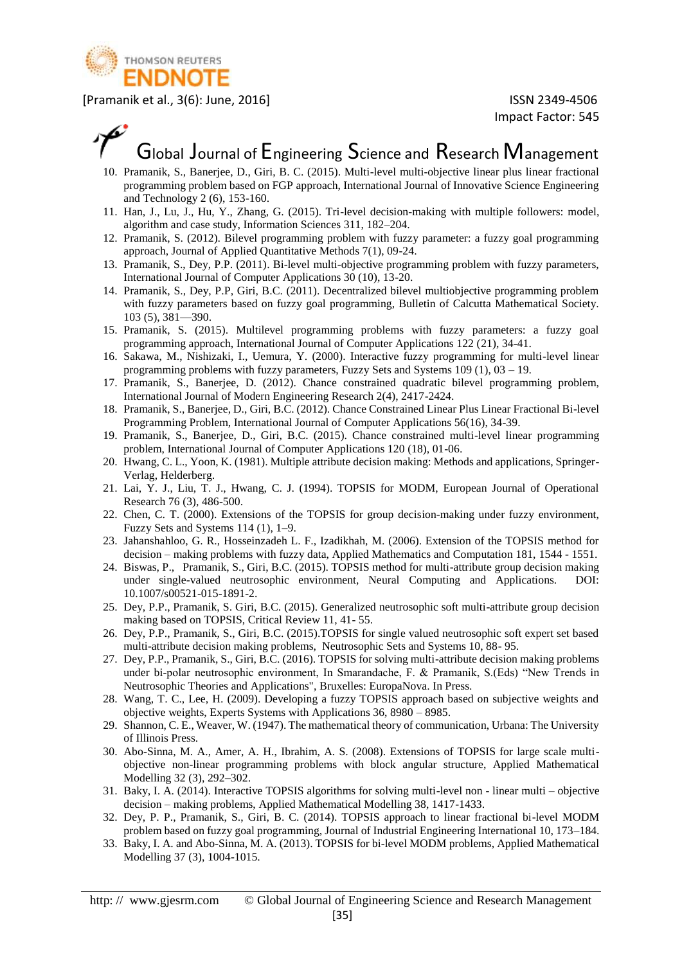

## Global Journal of Engineering Science and Research Management

- 10. Pramanik, S., Banerjee, D., Giri, B. C. (2015). Multi-level multi-objective linear plus linear fractional programming problem based on FGP approach, International Journal of Innovative Science Engineering and Technology 2 (6), 153-160.
- 11. Han, J., Lu, J., Hu, Y., Zhang, G. (2015). Tri-level decision-making with multiple followers: model, algorithm and case study, Information Sciences 311, 182–204.
- 12. Pramanik, S. (2012). Bilevel programming problem with fuzzy parameter: a fuzzy goal programming approach, Journal of Applied Quantitative Methods 7(1), 09-24.
- 13. Pramanik, S., Dey, P.P. (2011). Bi-level multi-objective programming problem with fuzzy parameters, International Journal of Computer Applications 30 (10), 13-20.
- 14. Pramanik, S., Dey, P.P, Giri, B.C. (2011). Decentralized bilevel multiobjective programming problem with fuzzy parameters based on fuzzy goal programming, Bulletin of Calcutta Mathematical Society. 103 (5), 381—390.
- 15. Pramanik, S. (2015). Multilevel programming problems with fuzzy parameters: a fuzzy goal programming approach, International Journal of Computer Applications 122 (21), 34-41.
- 16. Sakawa, M., Nishizaki, I., Uemura, Y. (2000). Interactive fuzzy programming for multi-level linear programming problems with fuzzy parameters, Fuzzy Sets and Systems 109 (1), 03 – 19.
- 17. Pramanik, S., Banerjee, D. (2012). Chance constrained quadratic bilevel programming problem, International Journal of Modern Engineering Research 2(4), 2417-2424.
- 18. Pramanik, S., Banerjee, D., Giri, B.C. (2012). Chance Constrained Linear Plus Linear Fractional Bi-level Programming Problem, International Journal of Computer Applications 56(16), 34-39.
- 19. Pramanik, S., Banerjee, D., Giri, B.C. (2015). Chance constrained multi-level linear programming problem, International Journal of Computer Applications 120 (18), 01-06.
- 20. Hwang, C. L., Yoon, K. (1981). Multiple attribute decision making: Methods and applications, Springer-Verlag, Helderberg.
- 21. Lai, Y. J., Liu, T. J., Hwang, C. J. (1994). TOPSIS for MODM, European Journal of Operational Research 76 (3), 486-500.
- 22. Chen, C. T. (2000). Extensions of the TOPSIS for group decision-making under fuzzy environment, Fuzzy Sets and Systems 114 (1), 1–9.
- 23. Jahanshahloo, G. R., Hosseinzadeh L. F., Izadikhah, M. (2006). Extension of the TOPSIS method for decision – making problems with fuzzy data, Applied Mathematics and Computation 181, 1544 - 1551.
- 24. Biswas, P., Pramanik, S., Giri, B.C. (2015). TOPSIS method for multi-attribute group decision making under single-valued neutrosophic environment, Neural Computing and Applications. DOI: 10.1007/s00521-015-1891-2.
- 25. Dey, P.P., Pramanik, S. Giri, B.C. (2015). Generalized neutrosophic soft multi-attribute group decision making based on TOPSIS, Critical Review 11, 41- 55.
- 26. Dey, P.P., Pramanik, S., Giri, B.C. (2015).TOPSIS for single valued neutrosophic soft expert set based multi-attribute decision making problems, Neutrosophic Sets and Systems 10, 88- 95.
- 27. Dey, P.P., Pramanik, S., Giri, B.C. (2016). TOPSIS for solving multi-attribute decision making problems under bi-polar neutrosophic environment, In Smarandache, F. & Pramanik, S.(Eds) "New Trends in Neutrosophic Theories and Applications", Bruxelles: EuropaNova. In Press.
- 28. Wang, T. C., Lee, H. (2009). Developing a fuzzy TOPSIS approach based on subjective weights and objective weights, Experts Systems with Applications 36, 8980 – 8985.
- 29. Shannon, C. E., Weaver, W. (1947). The mathematical theory of communication, Urbana: The University of Illinois Press.
- 30. Abo-Sinna, M. A., Amer, A. H., Ibrahim, A. S. (2008). Extensions of TOPSIS for large scale multiobjective non-linear programming problems with block angular structure, Applied Mathematical Modelling 32 (3), 292–302.
- 31. Baky, I. A. (2014). Interactive TOPSIS algorithms for solving multi-level non linear multi objective decision – making problems, Applied Mathematical Modelling 38, 1417-1433.
- 32. Dey, P. P., Pramanik, S., Giri, B. C. (2014). TOPSIS approach to linear fractional bi-level MODM problem based on fuzzy goal programming, Journal of Industrial Engineering International 10, 173–184.
- 33. Baky, I. A. and Abo-Sinna, M. A. (2013). TOPSIS for bi-level MODM problems, Applied Mathematical Modelling 37 (3), 1004-1015.